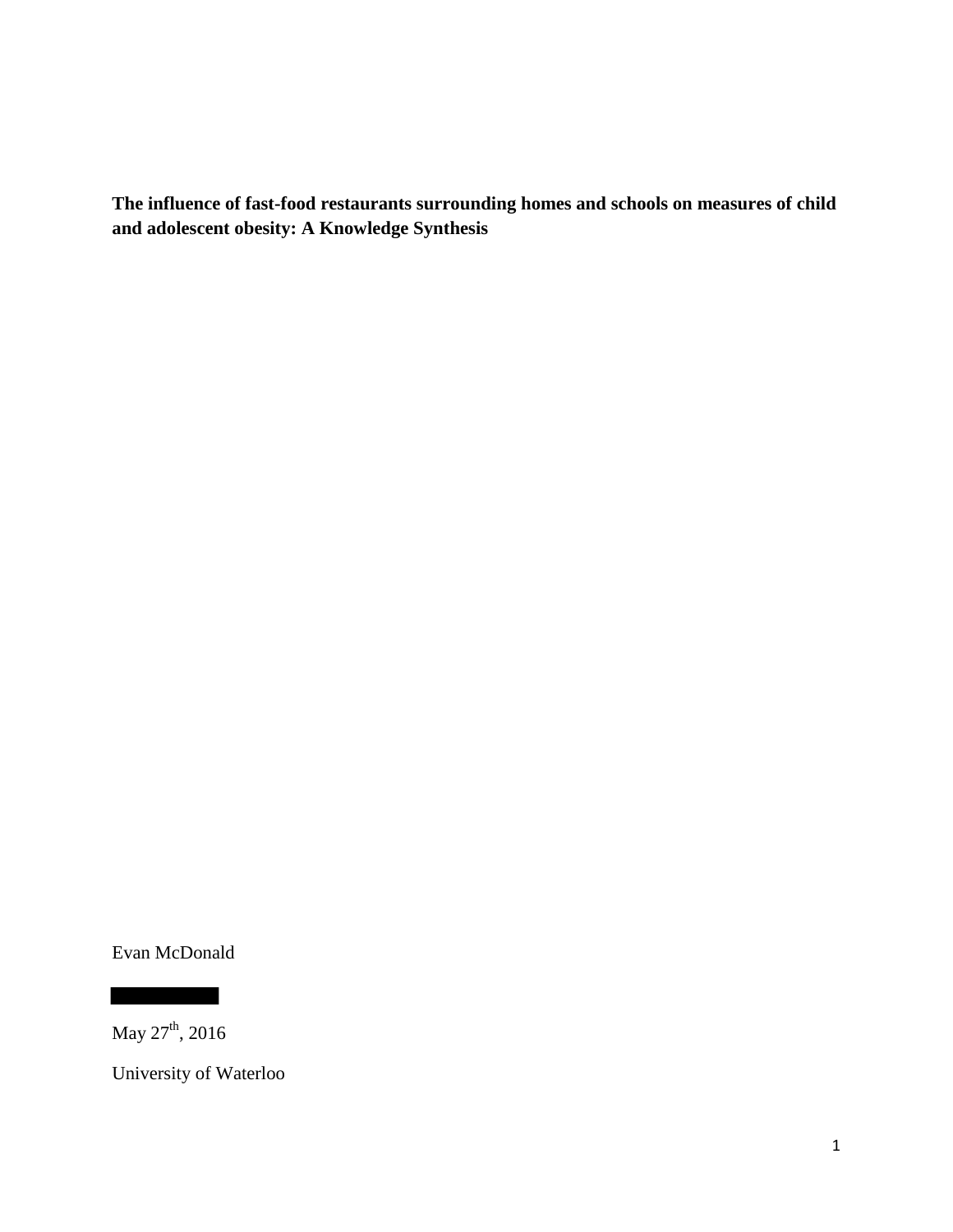**The influence of fast-food restaurants surrounding homes and schools on measures of child and adolescent obesity: A Knowledge Synthesis** 

Evan McDonald

May  $27<sup>th</sup>$ , 2016

University of Waterloo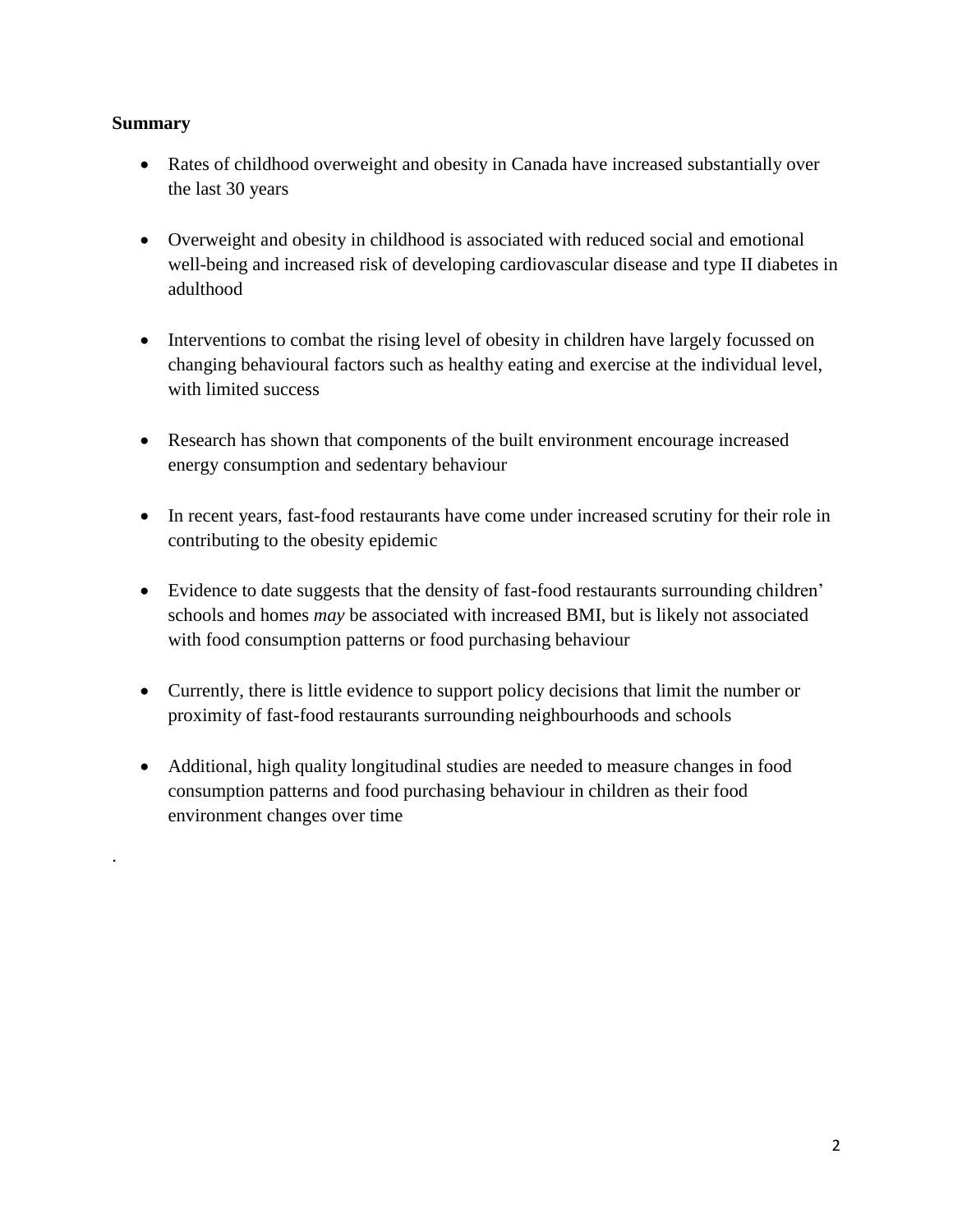# **Summary**

.

- Rates of childhood overweight and obesity in Canada have increased substantially over the last 30 years
- Overweight and obesity in childhood is associated with reduced social and emotional well-being and increased risk of developing cardiovascular disease and type II diabetes in adulthood
- Interventions to combat the rising level of obesity in children have largely focussed on changing behavioural factors such as healthy eating and exercise at the individual level, with limited success
- Research has shown that components of the built environment encourage increased energy consumption and sedentary behaviour
- In recent years, fast-food restaurants have come under increased scrutiny for their role in contributing to the obesity epidemic
- Evidence to date suggests that the density of fast-food restaurants surrounding children' schools and homes *may* be associated with increased BMI, but is likely not associated with food consumption patterns or food purchasing behaviour
- Currently, there is little evidence to support policy decisions that limit the number or proximity of fast-food restaurants surrounding neighbourhoods and schools
- Additional, high quality longitudinal studies are needed to measure changes in food consumption patterns and food purchasing behaviour in children as their food environment changes over time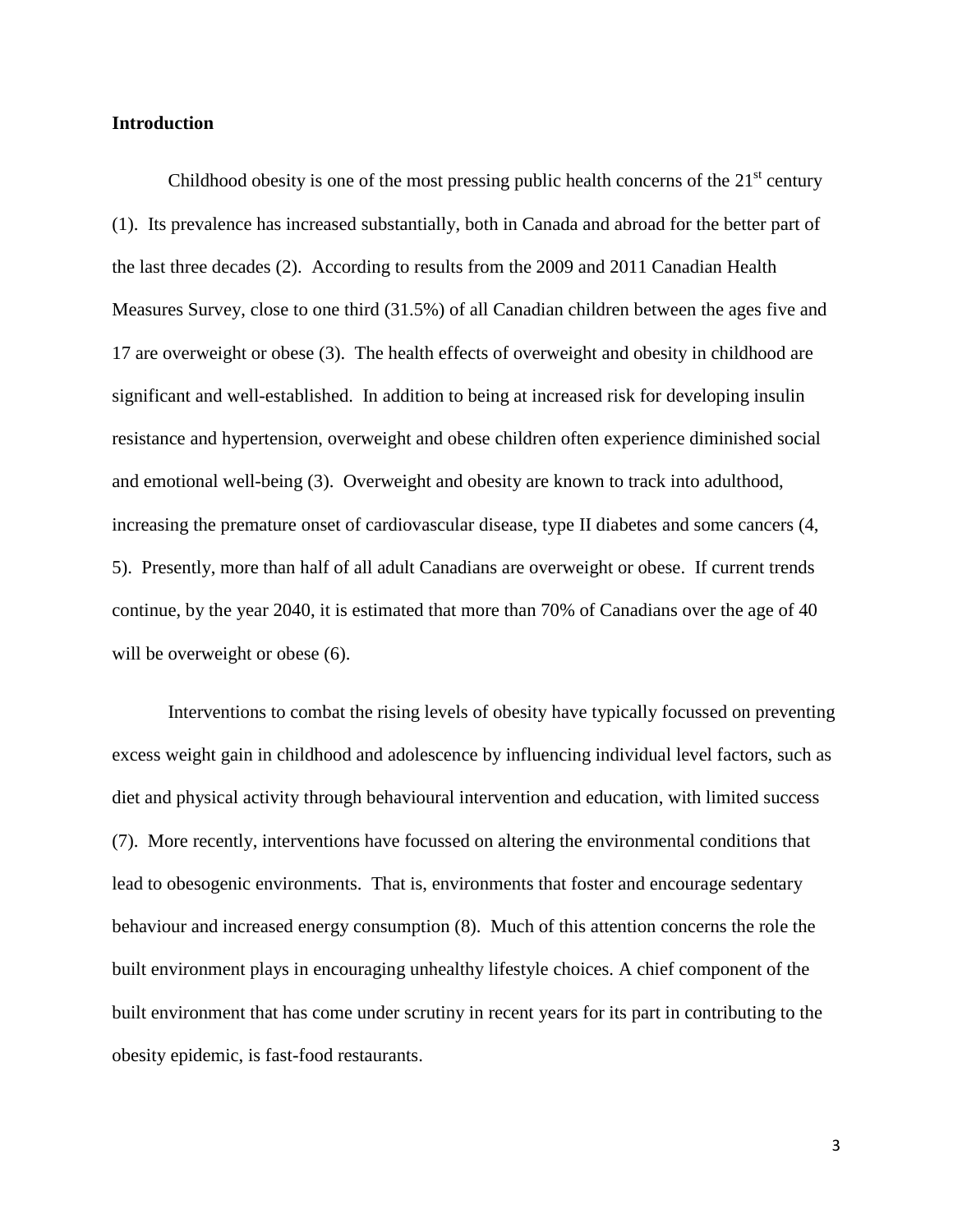# **Introduction**

Childhood obesity is one of the most pressing public health concerns of the  $21<sup>st</sup>$  century (1). Its prevalence has increased substantially, both in Canada and abroad for the better part of the last three decades (2). According to results from the 2009 and 2011 Canadian Health Measures Survey, close to one third (31.5%) of all Canadian children between the ages five and 17 are overweight or obese (3). The health effects of overweight and obesity in childhood are significant and well-established. In addition to being at increased risk for developing insulin resistance and hypertension, overweight and obese children often experience diminished social and emotional well-being (3). Overweight and obesity are known to track into adulthood, increasing the premature onset of cardiovascular disease, type II diabetes and some cancers (4, 5). Presently, more than half of all adult Canadians are overweight or obese. If current trends continue, by the year 2040, it is estimated that more than 70% of Canadians over the age of 40 will be overweight or obese  $(6)$ .

Interventions to combat the rising levels of obesity have typically focussed on preventing excess weight gain in childhood and adolescence by influencing individual level factors, such as diet and physical activity through behavioural intervention and education, with limited success (7). More recently, interventions have focussed on altering the environmental conditions that lead to obesogenic environments. That is, environments that foster and encourage sedentary behaviour and increased energy consumption (8). Much of this attention concerns the role the built environment plays in encouraging unhealthy lifestyle choices. A chief component of the built environment that has come under scrutiny in recent years for its part in contributing to the obesity epidemic, is fast-food restaurants.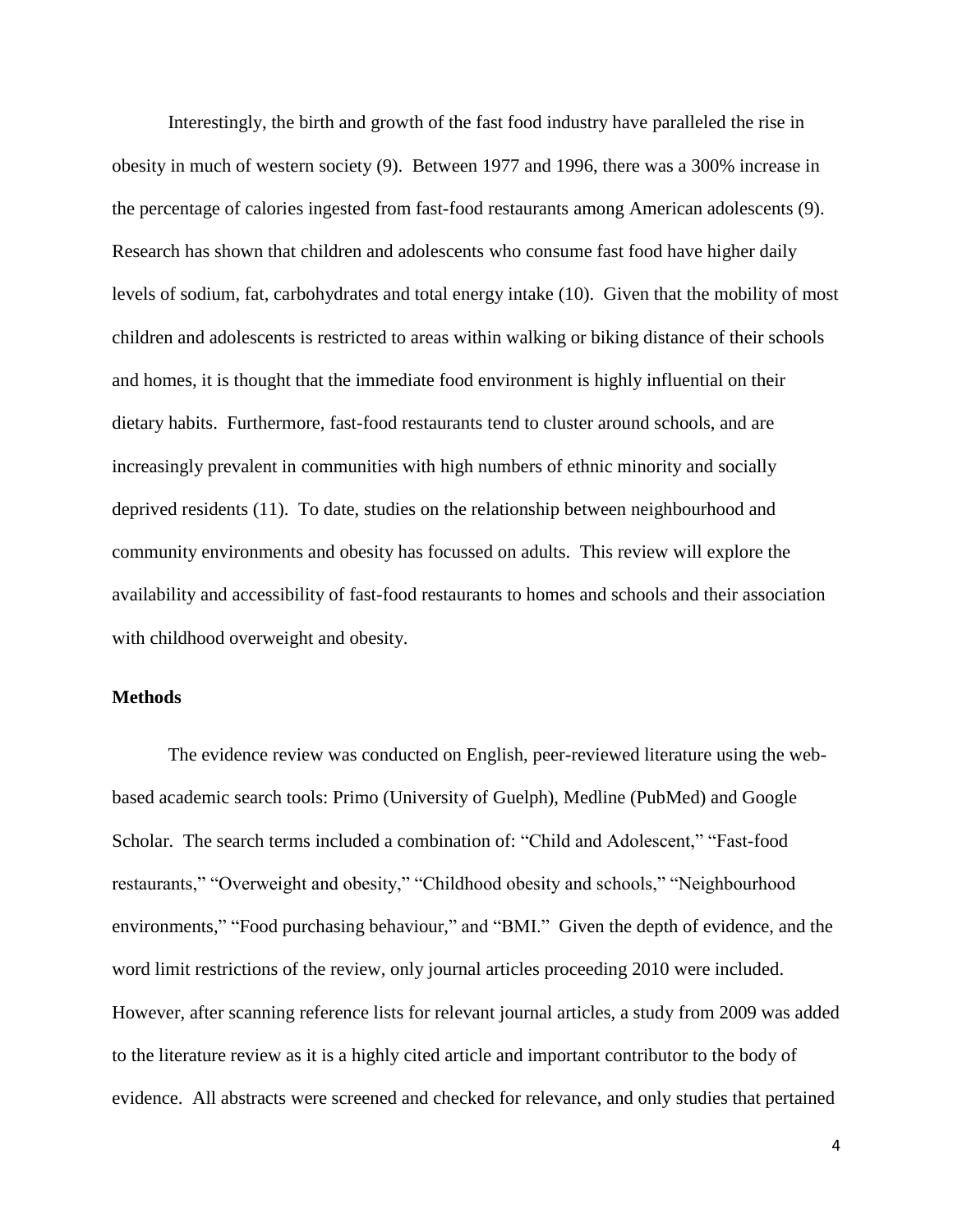Interestingly, the birth and growth of the fast food industry have paralleled the rise in obesity in much of western society (9). Between 1977 and 1996, there was a 300% increase in the percentage of calories ingested from fast-food restaurants among American adolescents (9). Research has shown that children and adolescents who consume fast food have higher daily levels of sodium, fat, carbohydrates and total energy intake (10). Given that the mobility of most children and adolescents is restricted to areas within walking or biking distance of their schools and homes, it is thought that the immediate food environment is highly influential on their dietary habits. Furthermore, fast-food restaurants tend to cluster around schools, and are increasingly prevalent in communities with high numbers of ethnic minority and socially deprived residents (11). To date, studies on the relationship between neighbourhood and community environments and obesity has focussed on adults. This review will explore the availability and accessibility of fast-food restaurants to homes and schools and their association with childhood overweight and obesity.

# **Methods**

The evidence review was conducted on English, peer-reviewed literature using the webbased academic search tools: Primo (University of Guelph), Medline (PubMed) and Google Scholar. The search terms included a combination of: "Child and Adolescent," "Fast-food restaurants," "Overweight and obesity," "Childhood obesity and schools," "Neighbourhood environments," "Food purchasing behaviour," and "BMI." Given the depth of evidence, and the word limit restrictions of the review, only journal articles proceeding 2010 were included. However, after scanning reference lists for relevant journal articles, a study from 2009 was added to the literature review as it is a highly cited article and important contributor to the body of evidence. All abstracts were screened and checked for relevance, and only studies that pertained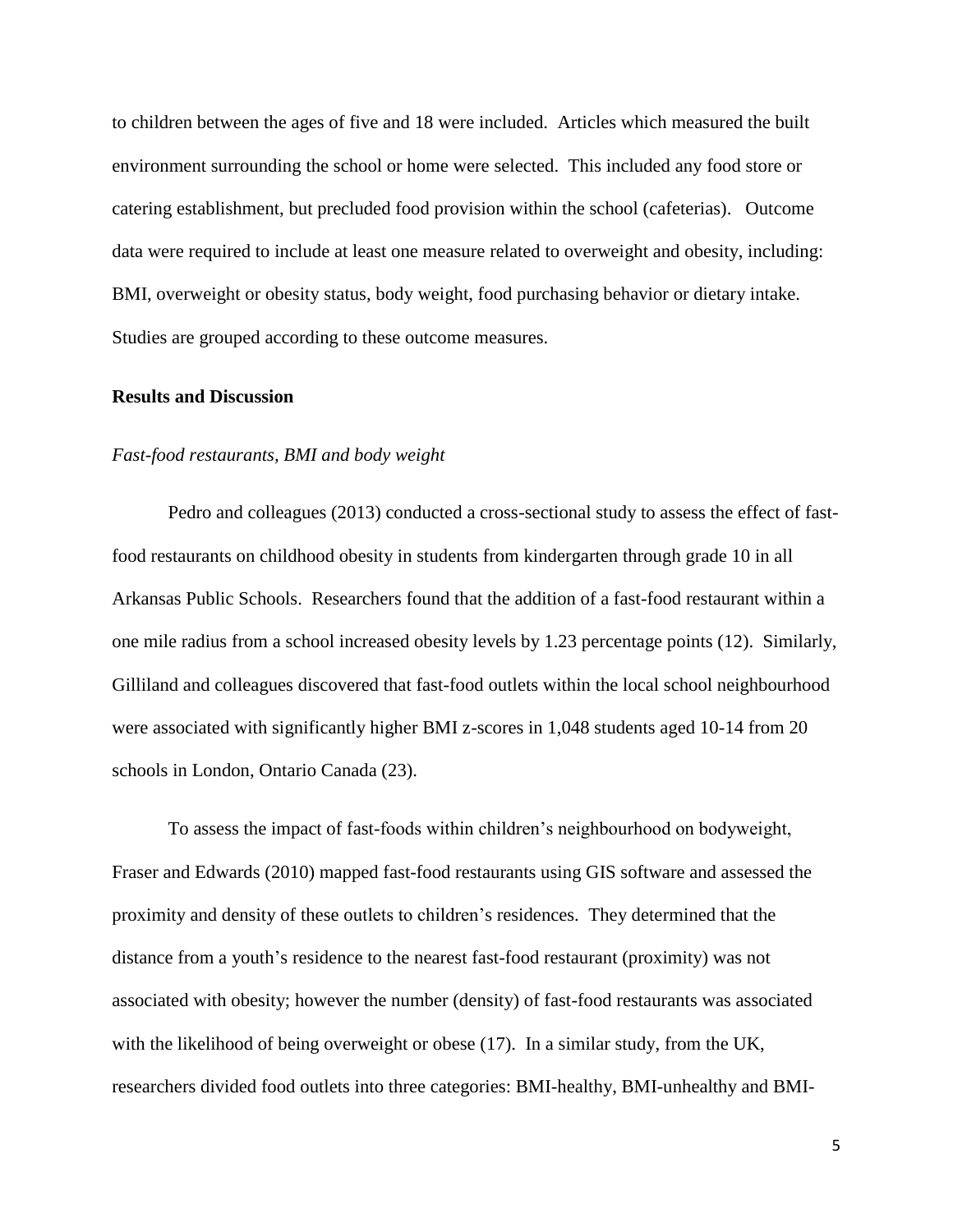to children between the ages of five and 18 were included. Articles which measured the built environment surrounding the school or home were selected. This included any food store or catering establishment, but precluded food provision within the school (cafeterias). Outcome data were required to include at least one measure related to overweight and obesity, including: BMI, overweight or obesity status, body weight, food purchasing behavior or dietary intake. Studies are grouped according to these outcome measures.

# **Results and Discussion**

#### *Fast-food restaurants, BMI and body weight*

Pedro and colleagues (2013) conducted a cross-sectional study to assess the effect of fastfood restaurants on childhood obesity in students from kindergarten through grade 10 in all Arkansas Public Schools. Researchers found that the addition of a fast-food restaurant within a one mile radius from a school increased obesity levels by 1.23 percentage points (12). Similarly, Gilliland and colleagues discovered that fast-food outlets within the local school neighbourhood were associated with significantly higher BMI z-scores in 1,048 students aged 10-14 from 20 schools in London, Ontario Canada (23).

To assess the impact of fast-foods within children's neighbourhood on bodyweight, Fraser and Edwards (2010) mapped fast-food restaurants using GIS software and assessed the proximity and density of these outlets to children's residences. They determined that the distance from a youth's residence to the nearest fast-food restaurant (proximity) was not associated with obesity; however the number (density) of fast-food restaurants was associated with the likelihood of being overweight or obese (17). In a similar study, from the UK, researchers divided food outlets into three categories: BMI-healthy, BMI-unhealthy and BMI-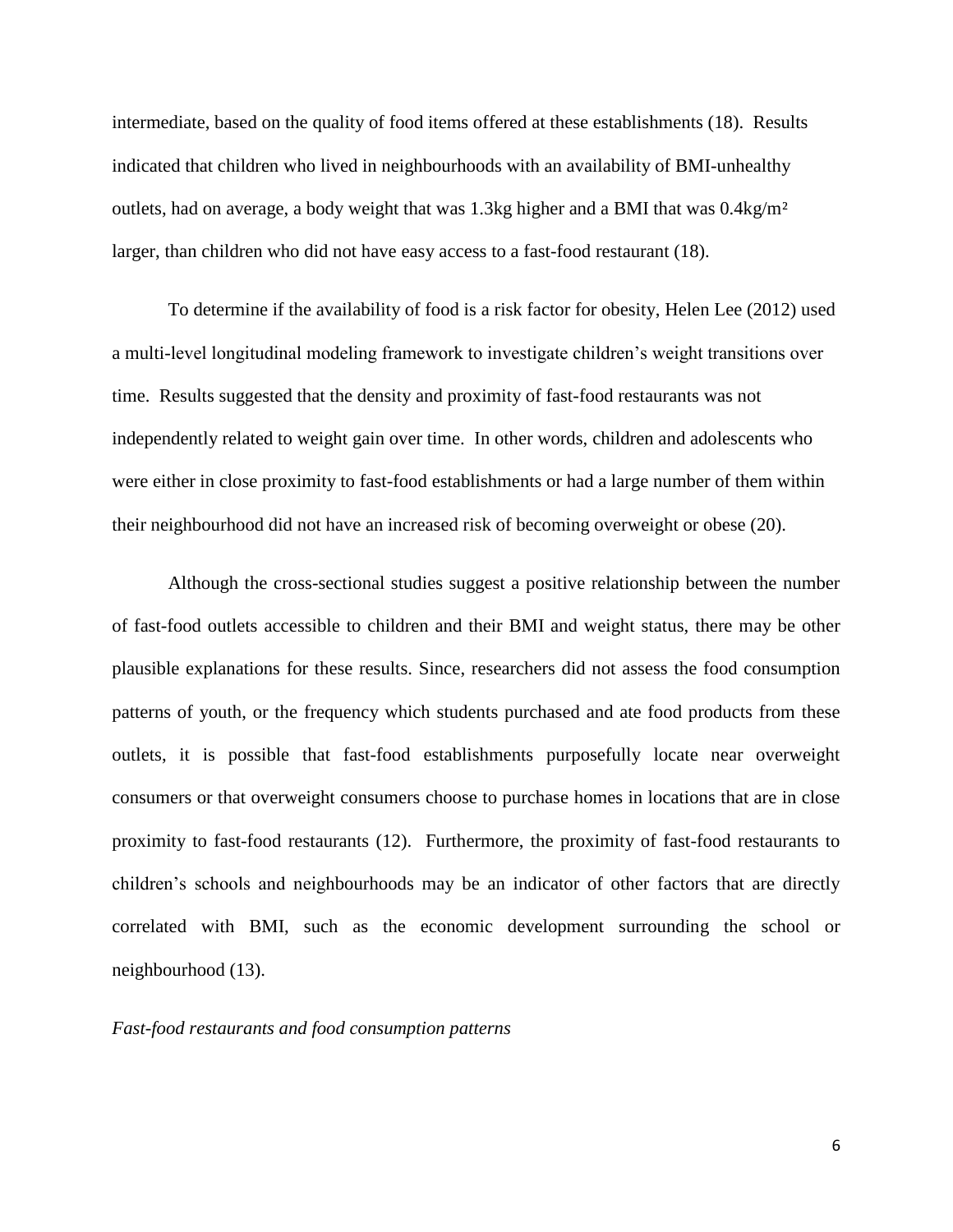intermediate, based on the quality of food items offered at these establishments (18). Results indicated that children who lived in neighbourhoods with an availability of BMI-unhealthy outlets, had on average, a body weight that was 1.3kg higher and a BMI that was  $0.4kg/m<sup>2</sup>$ larger, than children who did not have easy access to a fast-food restaurant (18).

To determine if the availability of food is a risk factor for obesity, Helen Lee (2012) used a multi-level longitudinal modeling framework to investigate children's weight transitions over time. Results suggested that the density and proximity of fast-food restaurants was not independently related to weight gain over time. In other words, children and adolescents who were either in close proximity to fast-food establishments or had a large number of them within their neighbourhood did not have an increased risk of becoming overweight or obese (20).

Although the cross-sectional studies suggest a positive relationship between the number of fast-food outlets accessible to children and their BMI and weight status, there may be other plausible explanations for these results. Since, researchers did not assess the food consumption patterns of youth, or the frequency which students purchased and ate food products from these outlets, it is possible that fast-food establishments purposefully locate near overweight consumers or that overweight consumers choose to purchase homes in locations that are in close proximity to fast-food restaurants (12). Furthermore, the proximity of fast-food restaurants to children's schools and neighbourhoods may be an indicator of other factors that are directly correlated with BMI, such as the economic development surrounding the school or neighbourhood (13).

# *Fast-food restaurants and food consumption patterns*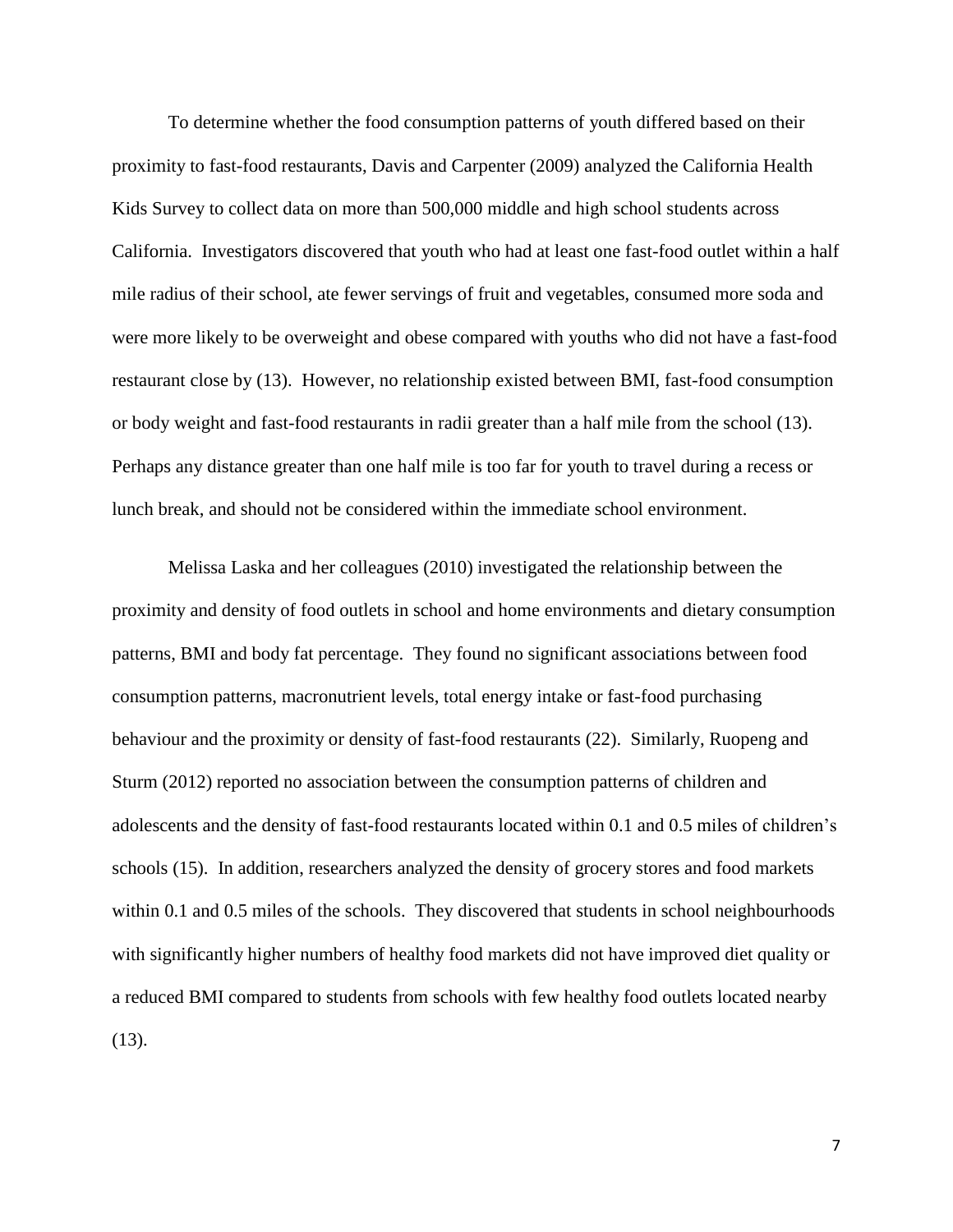To determine whether the food consumption patterns of youth differed based on their proximity to fast-food restaurants, Davis and Carpenter (2009) analyzed the California Health Kids Survey to collect data on more than 500,000 middle and high school students across California. Investigators discovered that youth who had at least one fast-food outlet within a half mile radius of their school, ate fewer servings of fruit and vegetables, consumed more soda and were more likely to be overweight and obese compared with youths who did not have a fast-food restaurant close by (13). However, no relationship existed between BMI, fast-food consumption or body weight and fast-food restaurants in radii greater than a half mile from the school (13). Perhaps any distance greater than one half mile is too far for youth to travel during a recess or lunch break, and should not be considered within the immediate school environment.

Melissa Laska and her colleagues (2010) investigated the relationship between the proximity and density of food outlets in school and home environments and dietary consumption patterns, BMI and body fat percentage. They found no significant associations between food consumption patterns, macronutrient levels, total energy intake or fast-food purchasing behaviour and the proximity or density of fast-food restaurants (22). Similarly, Ruopeng and Sturm (2012) reported no association between the consumption patterns of children and adolescents and the density of fast-food restaurants located within 0.1 and 0.5 miles of children's schools (15). In addition, researchers analyzed the density of grocery stores and food markets within 0.1 and 0.5 miles of the schools. They discovered that students in school neighbourhoods with significantly higher numbers of healthy food markets did not have improved diet quality or a reduced BMI compared to students from schools with few healthy food outlets located nearby (13).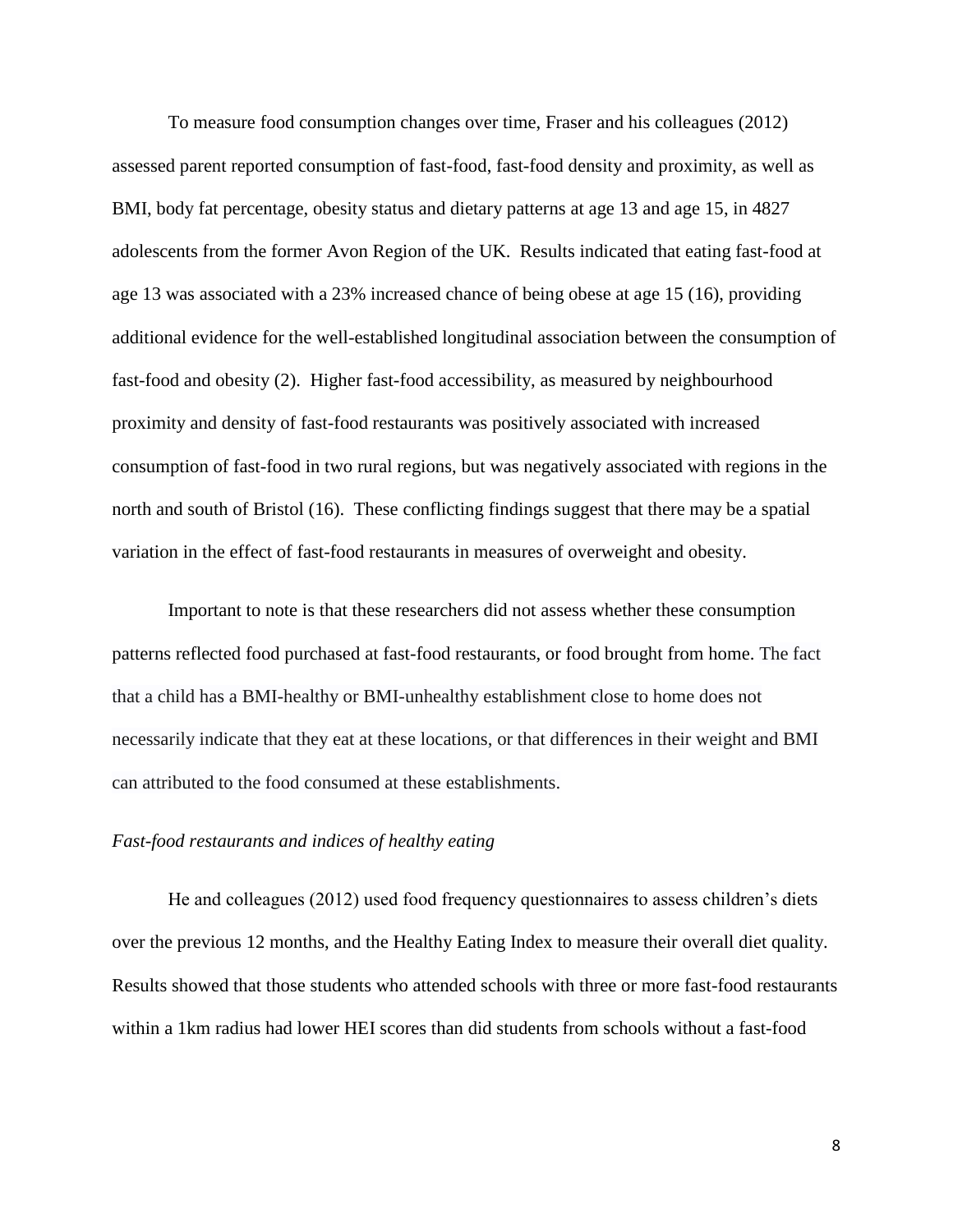To measure food consumption changes over time, Fraser and his colleagues (2012) assessed parent reported consumption of fast-food, fast-food density and proximity, as well as BMI, body fat percentage, obesity status and dietary patterns at age 13 and age 15, in 4827 adolescents from the former Avon Region of the UK. Results indicated that eating fast-food at age 13 was associated with a 23% increased chance of being obese at age 15 (16), providing additional evidence for the well-established longitudinal association between the consumption of fast-food and obesity (2). Higher fast-food accessibility, as measured by neighbourhood proximity and density of fast-food restaurants was positively associated with increased consumption of fast-food in two rural regions, but was negatively associated with regions in the north and south of Bristol (16). These conflicting findings suggest that there may be a spatial variation in the effect of fast-food restaurants in measures of overweight and obesity.

Important to note is that these researchers did not assess whether these consumption patterns reflected food purchased at fast-food restaurants, or food brought from home. The fact that a child has a BMI-healthy or BMI-unhealthy establishment close to home does not necessarily indicate that they eat at these locations, or that differences in their weight and BMI can attributed to the food consumed at these establishments.

# *Fast-food restaurants and indices of healthy eating*

He and colleagues (2012) used food frequency questionnaires to assess children's diets over the previous 12 months, and the Healthy Eating Index to measure their overall diet quality. Results showed that those students who attended schools with three or more fast-food restaurants within a 1km radius had lower HEI scores than did students from schools without a fast-food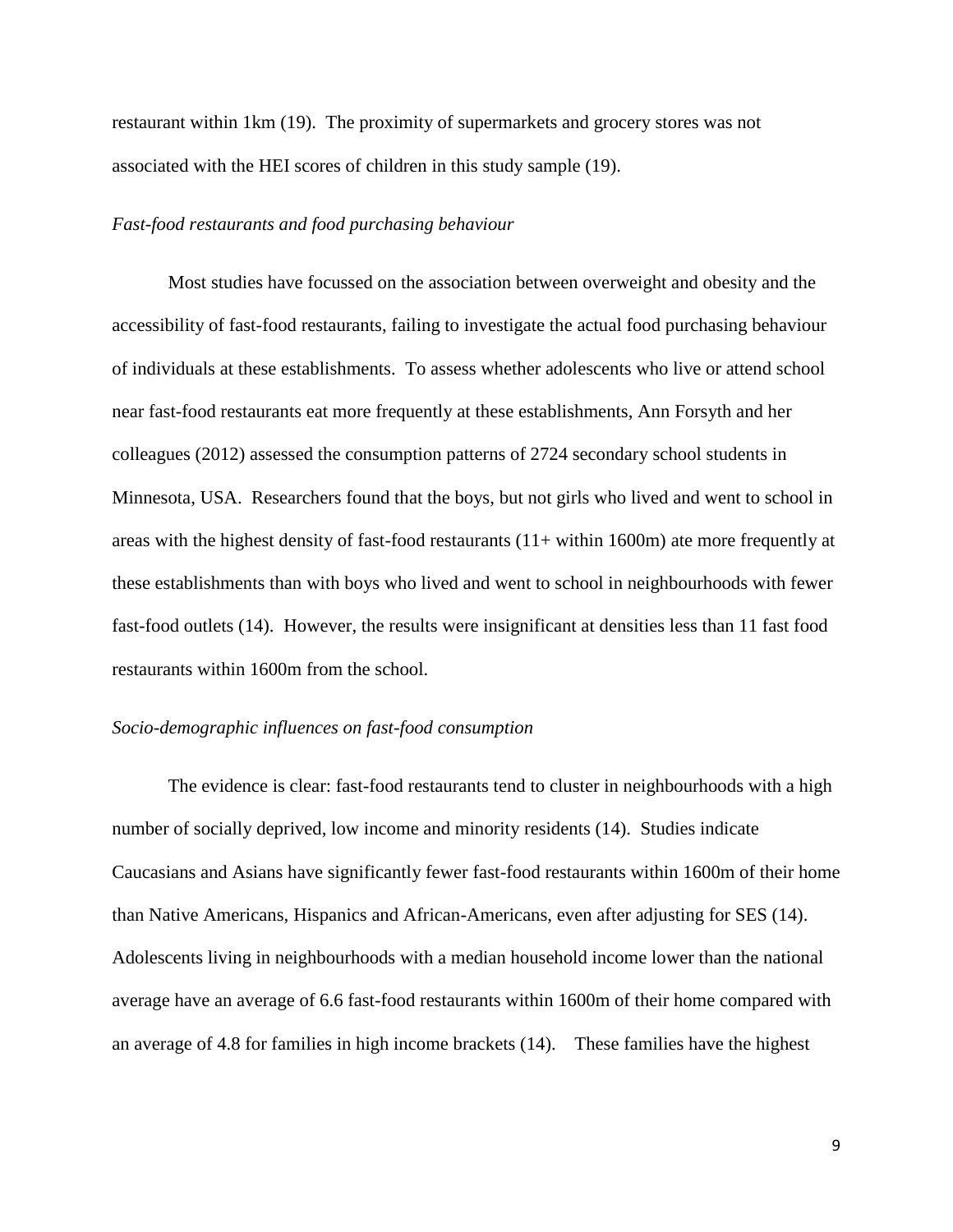restaurant within 1km (19). The proximity of supermarkets and grocery stores was not associated with the HEI scores of children in this study sample (19).

#### *Fast-food restaurants and food purchasing behaviour*

Most studies have focussed on the association between overweight and obesity and the accessibility of fast-food restaurants, failing to investigate the actual food purchasing behaviour of individuals at these establishments. To assess whether adolescents who live or attend school near fast-food restaurants eat more frequently at these establishments, Ann Forsyth and her colleagues (2012) assessed the consumption patterns of 2724 secondary school students in Minnesota, USA. Researchers found that the boys, but not girls who lived and went to school in areas with the highest density of fast-food restaurants (11+ within 1600m) ate more frequently at these establishments than with boys who lived and went to school in neighbourhoods with fewer fast-food outlets (14). However, the results were insignificant at densities less than 11 fast food restaurants within 1600m from the school.

#### *Socio-demographic influences on fast-food consumption*

The evidence is clear: fast-food restaurants tend to cluster in neighbourhoods with a high number of socially deprived, low income and minority residents (14). Studies indicate Caucasians and Asians have significantly fewer fast-food restaurants within 1600m of their home than Native Americans, Hispanics and African-Americans, even after adjusting for SES (14). Adolescents living in neighbourhoods with a median household income lower than the national average have an average of 6.6 fast-food restaurants within 1600m of their home compared with an average of 4.8 for families in high income brackets (14). These families have the highest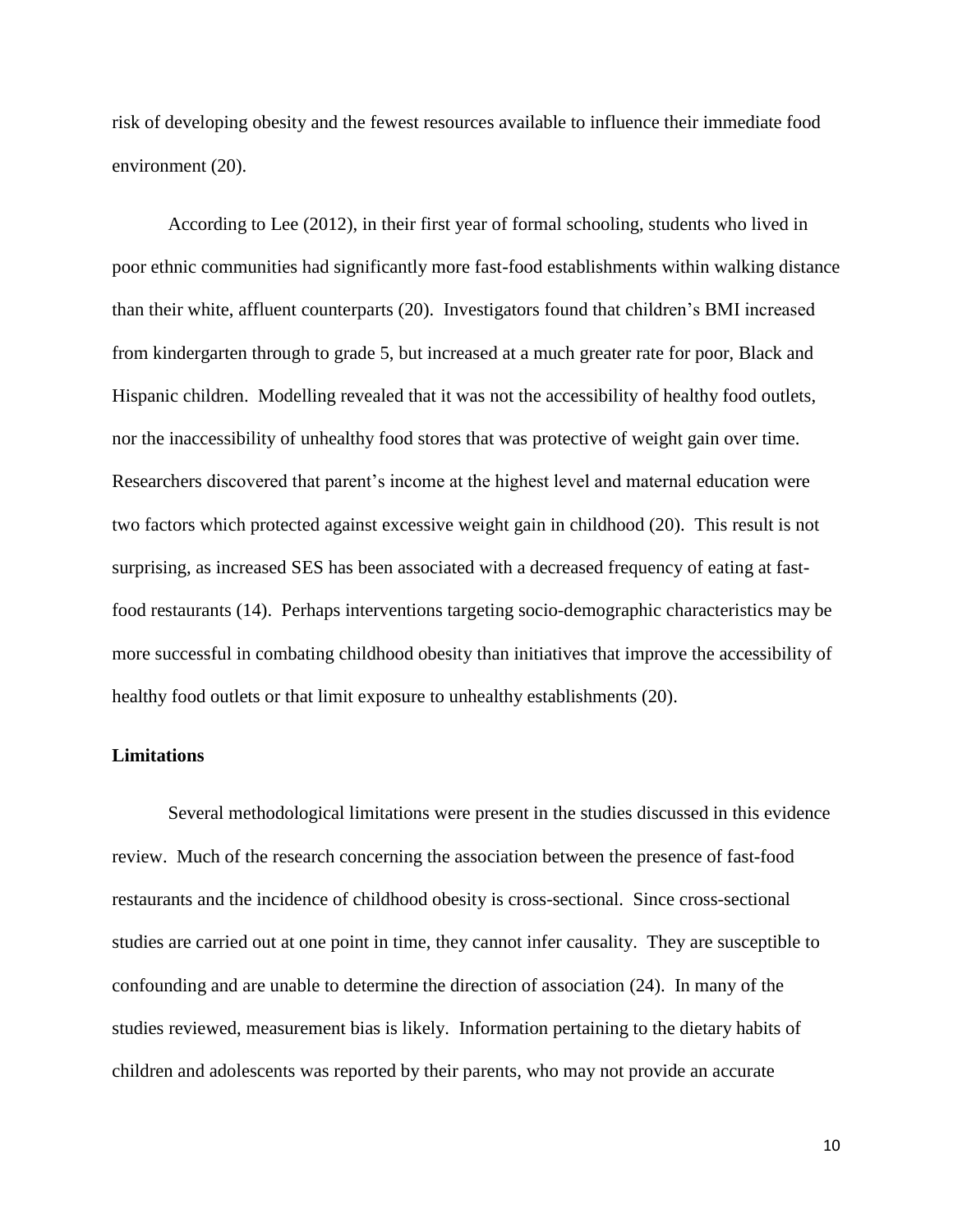risk of developing obesity and the fewest resources available to influence their immediate food environment (20).

According to Lee (2012), in their first year of formal schooling, students who lived in poor ethnic communities had significantly more fast-food establishments within walking distance than their white, affluent counterparts (20). Investigators found that children's BMI increased from kindergarten through to grade 5, but increased at a much greater rate for poor, Black and Hispanic children. Modelling revealed that it was not the accessibility of healthy food outlets, nor the inaccessibility of unhealthy food stores that was protective of weight gain over time. Researchers discovered that parent's income at the highest level and maternal education were two factors which protected against excessive weight gain in childhood (20). This result is not surprising, as increased SES has been associated with a decreased frequency of eating at fastfood restaurants (14). Perhaps interventions targeting socio-demographic characteristics may be more successful in combating childhood obesity than initiatives that improve the accessibility of healthy food outlets or that limit exposure to unhealthy establishments (20).

# **Limitations**

Several methodological limitations were present in the studies discussed in this evidence review. Much of the research concerning the association between the presence of fast-food restaurants and the incidence of childhood obesity is cross-sectional. Since cross-sectional studies are carried out at one point in time, they cannot infer causality. They are susceptible to confounding and are unable to determine the direction of association (24). In many of the studies reviewed, measurement bias is likely. Information pertaining to the dietary habits of children and adolescents was reported by their parents, who may not provide an accurate

10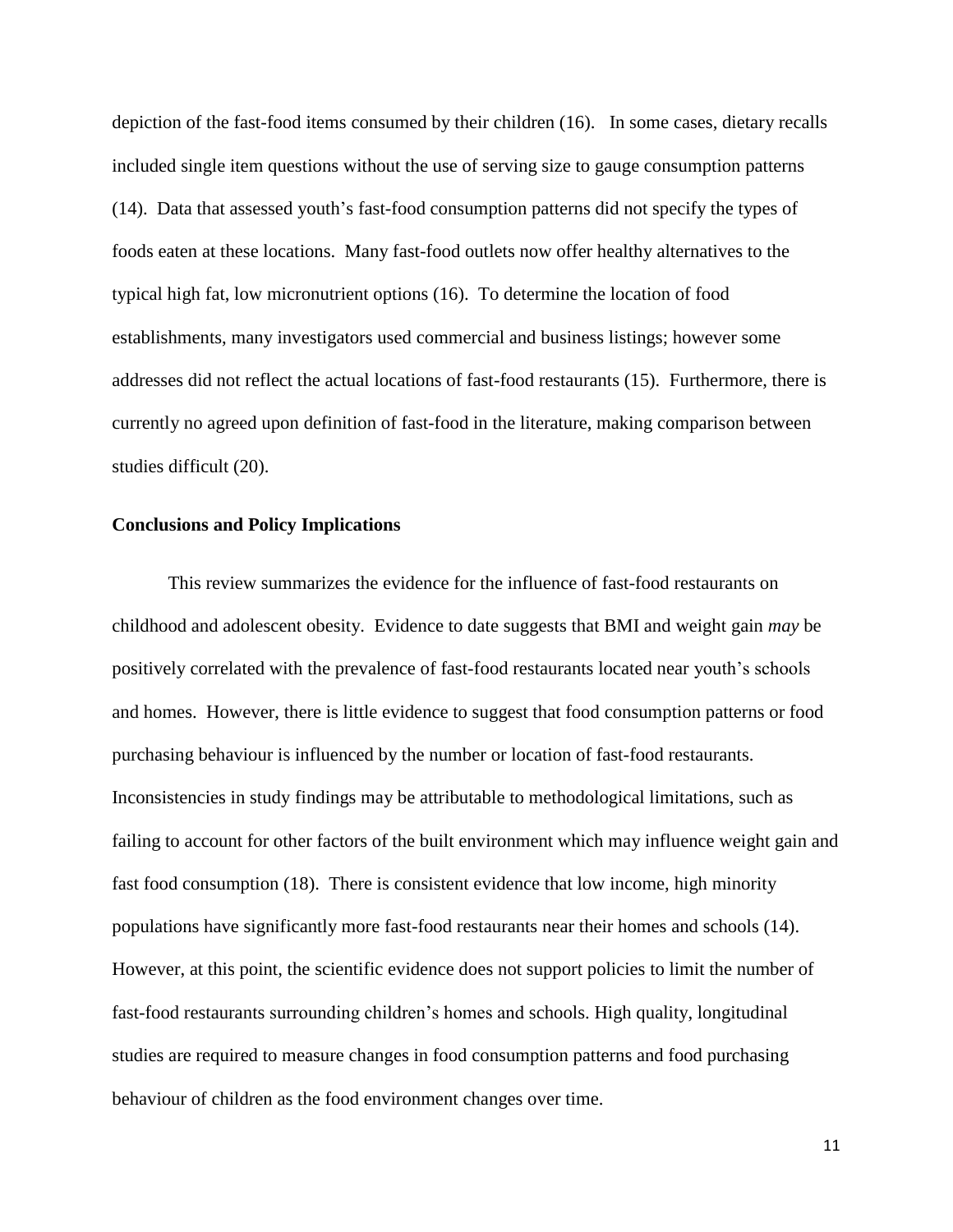depiction of the fast-food items consumed by their children (16). In some cases, dietary recalls included single item questions without the use of serving size to gauge consumption patterns (14). Data that assessed youth's fast-food consumption patterns did not specify the types of foods eaten at these locations. Many fast-food outlets now offer healthy alternatives to the typical high fat, low micronutrient options (16). To determine the location of food establishments, many investigators used commercial and business listings; however some addresses did not reflect the actual locations of fast-food restaurants (15). Furthermore, there is currently no agreed upon definition of fast-food in the literature, making comparison between studies difficult (20).

#### **Conclusions and Policy Implications**

This review summarizes the evidence for the influence of fast-food restaurants on childhood and adolescent obesity. Evidence to date suggests that BMI and weight gain *may* be positively correlated with the prevalence of fast-food restaurants located near youth's schools and homes. However, there is little evidence to suggest that food consumption patterns or food purchasing behaviour is influenced by the number or location of fast-food restaurants. Inconsistencies in study findings may be attributable to methodological limitations, such as failing to account for other factors of the built environment which may influence weight gain and fast food consumption (18). There is consistent evidence that low income, high minority populations have significantly more fast-food restaurants near their homes and schools (14). However, at this point, the scientific evidence does not support policies to limit the number of fast-food restaurants surrounding children's homes and schools. High quality, longitudinal studies are required to measure changes in food consumption patterns and food purchasing behaviour of children as the food environment changes over time.

11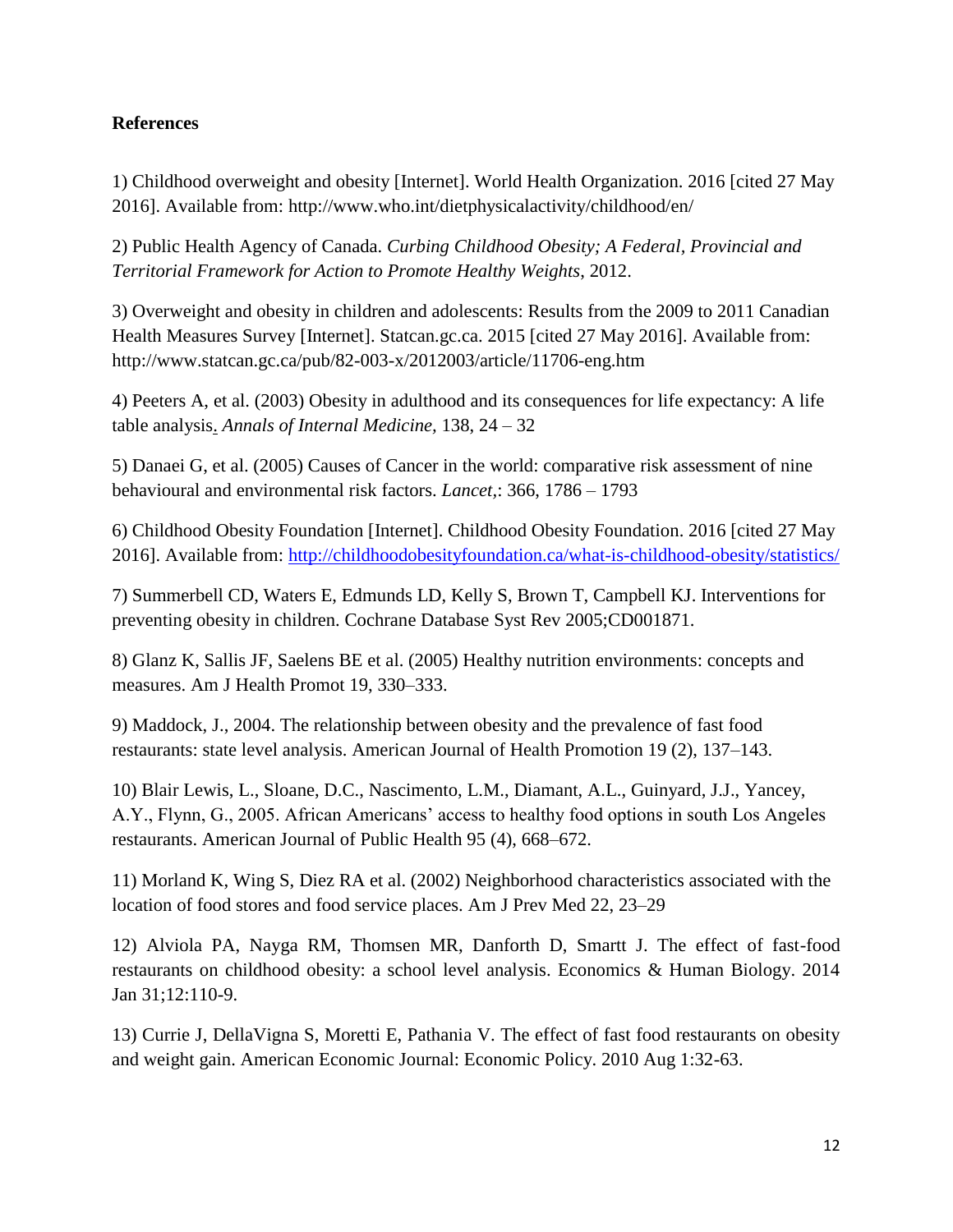# **References**

1) Childhood overweight and obesity [Internet]. World Health Organization. 2016 [cited 27 May 2016]. Available from:<http://www.who.int/dietphysicalactivity/childhood/en/>

2) Public Health Agency of Canada. *Curbing Childhood Obesity; A Federal, Provincial and Territorial Framework for Action to Promote Healthy Weights*, 2012.

3) Overweight and obesity in children and adolescents: Results from the 2009 to 2011 Canadian Health Measures Survey [Internet]. Statcan.gc.ca. 2015 [cited 27 May 2016]. Available from: <http://www.statcan.gc.ca/pub/82-003-x/2012003/article/11706-eng.htm>

4) Peeters A, et al. (2003) Obesity in adulthood and its consequences for life expectancy: A life table analysis. *Annals of Internal Medicine,* 138, 24 – 32

5) Danaei G, et al. (2005) Causes of Cancer in the world: comparative risk assessment of nine behavioural and environmental risk factors. *Lancet,*: 366, 1786 – 1793

6) Childhood Obesity Foundation [Internet]. Childhood Obesity Foundation. 2016 [cited 27 May 2016]. Available from:<http://childhoodobesityfoundation.ca/what-is-childhood-obesity/statistics/>

7) Summerbell CD, Waters E, Edmunds LD, Kelly S, Brown T, Campbell KJ. Interventions for preventing obesity in children. Cochrane Database Syst Rev 2005;CD001871.

8) Glanz K, Sallis JF, Saelens BE et al. (2005) Healthy nutrition environments: concepts and measures. Am J Health Promot 19, 330–333.

9) Maddock, J., 2004. The relationship between obesity and the prevalence of fast food restaurants: state level analysis. American Journal of Health Promotion 19 (2), 137–143.

10) Blair Lewis, L., Sloane, D.C., Nascimento, L.M., Diamant, A.L., Guinyard, J.J., Yancey, A.Y., Flynn, G., 2005. African Americans' access to healthy food options in south Los Angeles restaurants. American Journal of Public Health 95 (4), 668–672.

11) Morland K, Wing S, Diez RA et al. (2002) Neighborhood characteristics associated with the location of food stores and food service places. Am J Prev Med 22, 23–29

12) Alviola PA, Nayga RM, Thomsen MR, Danforth D, Smartt J. The effect of fast-food restaurants on childhood obesity: a school level analysis. Economics & Human Biology. 2014 Jan 31;12:110-9.

13) Currie J, DellaVigna S, Moretti E, Pathania V. The effect of fast food restaurants on obesity and weight gain. American Economic Journal: Economic Policy. 2010 Aug 1:32-63.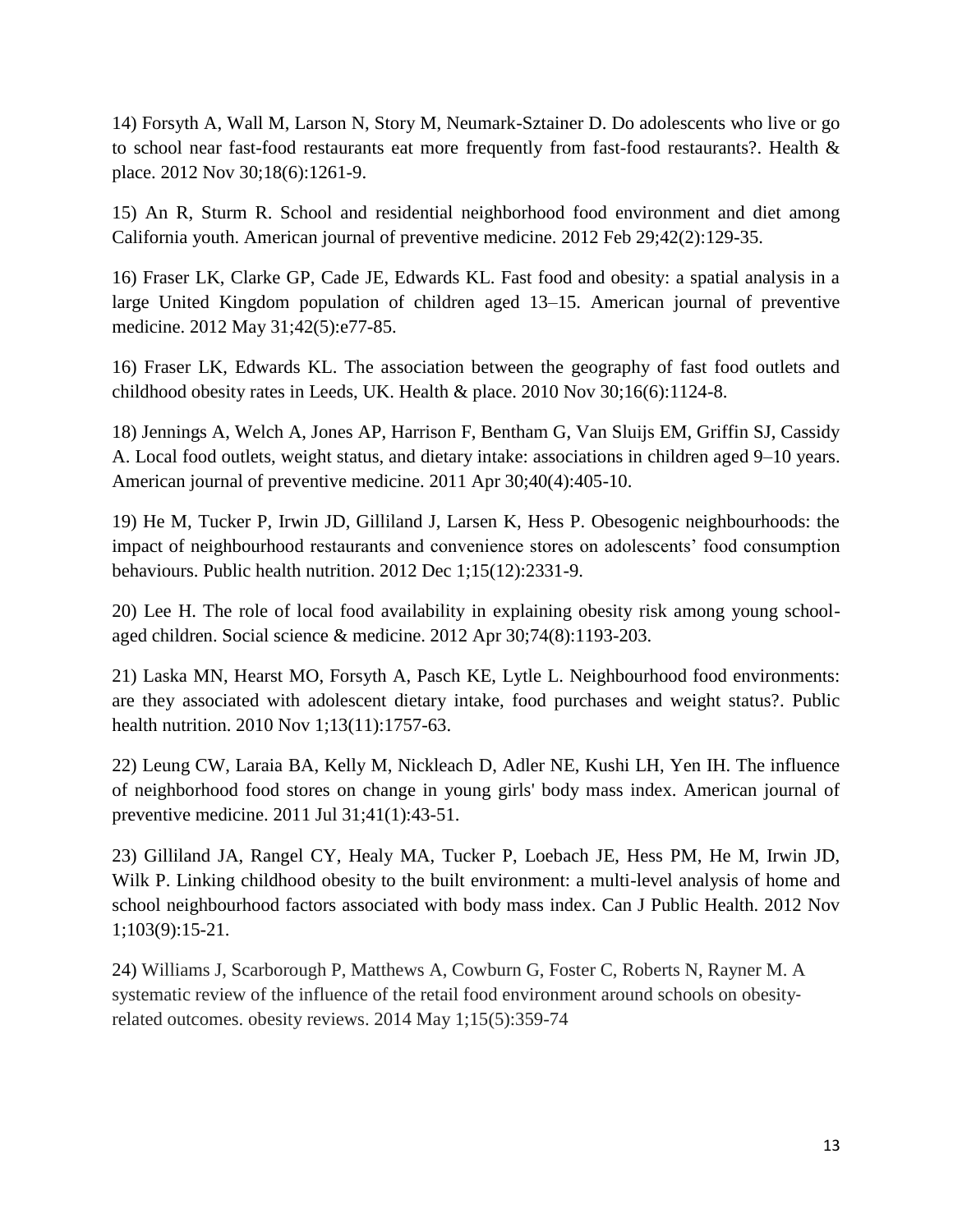14) Forsyth A, Wall M, Larson N, Story M, Neumark-Sztainer D. Do adolescents who live or go to school near fast-food restaurants eat more frequently from fast-food restaurants?. Health & place. 2012 Nov 30;18(6):1261-9.

15) An R, Sturm R. School and residential neighborhood food environment and diet among California youth. American journal of preventive medicine. 2012 Feb 29;42(2):129-35.

16) Fraser LK, Clarke GP, Cade JE, Edwards KL. Fast food and obesity: a spatial analysis in a large United Kingdom population of children aged 13–15. American journal of preventive medicine. 2012 May 31;42(5):e77-85.

16) Fraser LK, Edwards KL. The association between the geography of fast food outlets and childhood obesity rates in Leeds, UK. Health & place. 2010 Nov 30;16(6):1124-8.

18) Jennings A, Welch A, Jones AP, Harrison F, Bentham G, Van Sluijs EM, Griffin SJ, Cassidy A. Local food outlets, weight status, and dietary intake: associations in children aged 9–10 years. American journal of preventive medicine. 2011 Apr 30;40(4):405-10.

19) He M, Tucker P, Irwin JD, Gilliland J, Larsen K, Hess P. Obesogenic neighbourhoods: the impact of neighbourhood restaurants and convenience stores on adolescents' food consumption behaviours. Public health nutrition. 2012 Dec 1;15(12):2331-9.

20) Lee H. The role of local food availability in explaining obesity risk among young schoolaged children. Social science & medicine. 2012 Apr 30;74(8):1193-203.

21) Laska MN, Hearst MO, Forsyth A, Pasch KE, Lytle L. Neighbourhood food environments: are they associated with adolescent dietary intake, food purchases and weight status?. Public health nutrition. 2010 Nov 1;13(11):1757-63.

22) Leung CW, Laraia BA, Kelly M, Nickleach D, Adler NE, Kushi LH, Yen IH. The influence of neighborhood food stores on change in young girls' body mass index. American journal of preventive medicine. 2011 Jul 31;41(1):43-51.

23) Gilliland JA, Rangel CY, Healy MA, Tucker P, Loebach JE, Hess PM, He M, Irwin JD, Wilk P. Linking childhood obesity to the built environment: a multi-level analysis of home and school neighbourhood factors associated with body mass index. Can J Public Health. 2012 Nov 1;103(9):15-21.

24) Williams J, Scarborough P, Matthews A, Cowburn G, Foster C, Roberts N, Rayner M. A systematic review of the influence of the retail food environment around schools on obesityrelated outcomes. obesity reviews. 2014 May 1;15(5):359-74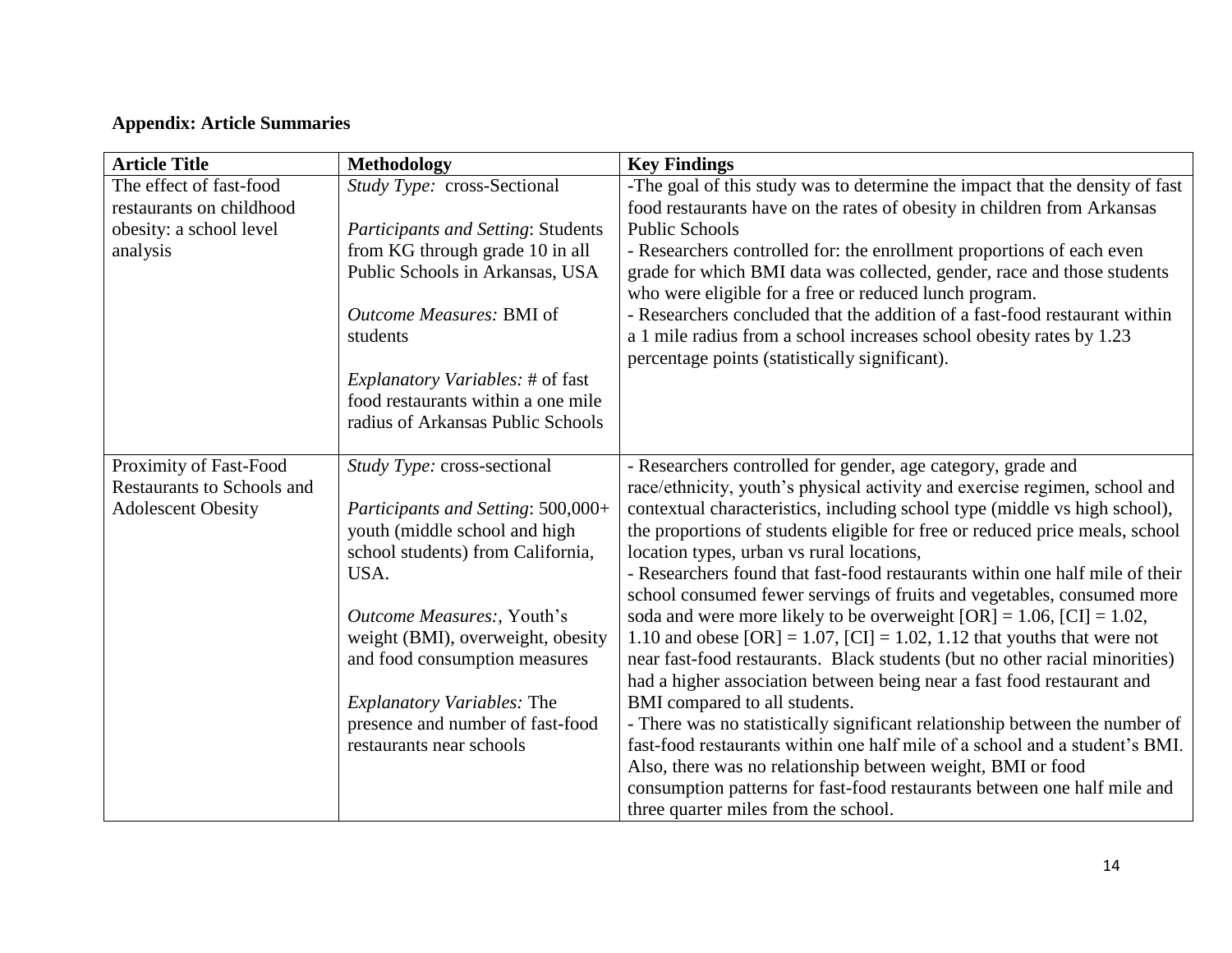# **Appendix: Article Summaries**

| <b>Article Title</b>              | <b>Methodology</b>                        | <b>Key Findings</b>                                                                                                               |
|-----------------------------------|-------------------------------------------|-----------------------------------------------------------------------------------------------------------------------------------|
| The effect of fast-food           | Study Type: cross-Sectional               | -The goal of this study was to determine the impact that the density of fast                                                      |
| restaurants on childhood          |                                           | food restaurants have on the rates of obesity in children from Arkansas                                                           |
| obesity: a school level           | <b>Participants and Setting: Students</b> | <b>Public Schools</b>                                                                                                             |
| analysis                          | from KG through grade 10 in all           | - Researchers controlled for: the enrollment proportions of each even                                                             |
|                                   | Public Schools in Arkansas, USA           | grade for which BMI data was collected, gender, race and those students<br>who were eligible for a free or reduced lunch program. |
|                                   | Outcome Measures: BMI of                  | - Researchers concluded that the addition of a fast-food restaurant within                                                        |
|                                   | students                                  | a 1 mile radius from a school increases school obesity rates by 1.23<br>percentage points (statistically significant).            |
|                                   | <i>Explanatory Variables:</i> # of fast   |                                                                                                                                   |
|                                   | food restaurants within a one mile        |                                                                                                                                   |
|                                   | radius of Arkansas Public Schools         |                                                                                                                                   |
|                                   |                                           |                                                                                                                                   |
| Proximity of Fast-Food            | Study Type: cross-sectional               | - Researchers controlled for gender, age category, grade and                                                                      |
| <b>Restaurants to Schools and</b> |                                           | race/ethnicity, youth's physical activity and exercise regimen, school and                                                        |
| <b>Adolescent Obesity</b>         | Participants and Setting: 500,000+        | contextual characteristics, including school type (middle vs high school),                                                        |
|                                   | youth (middle school and high             | the proportions of students eligible for free or reduced price meals, school                                                      |
|                                   | school students) from California,         | location types, urban vs rural locations,                                                                                         |
|                                   | USA.                                      | - Researchers found that fast-food restaurants within one half mile of their                                                      |
|                                   |                                           | school consumed fewer servings of fruits and vegetables, consumed more                                                            |
|                                   | Outcome Measures:, Youth's                | soda and were more likely to be overweight [OR] = $1.06$ , [CI] = $1.02$ ,                                                        |
|                                   | weight (BMI), overweight, obesity         | 1.10 and obese $[OR] = 1.07$ , $[CI] = 1.02$ , 1.12 that youths that were not                                                     |
|                                   | and food consumption measures             | near fast-food restaurants. Black students (but no other racial minorities)                                                       |
|                                   |                                           | had a higher association between being near a fast food restaurant and                                                            |
|                                   | <b>Explanatory Variables: The</b>         | BMI compared to all students.                                                                                                     |
|                                   | presence and number of fast-food          | - There was no statistically significant relationship between the number of                                                       |
|                                   | restaurants near schools                  | fast-food restaurants within one half mile of a school and a student's BMI.                                                       |
|                                   |                                           | Also, there was no relationship between weight, BMI or food                                                                       |
|                                   |                                           | consumption patterns for fast-food restaurants between one half mile and                                                          |
|                                   |                                           | three quarter miles from the school.                                                                                              |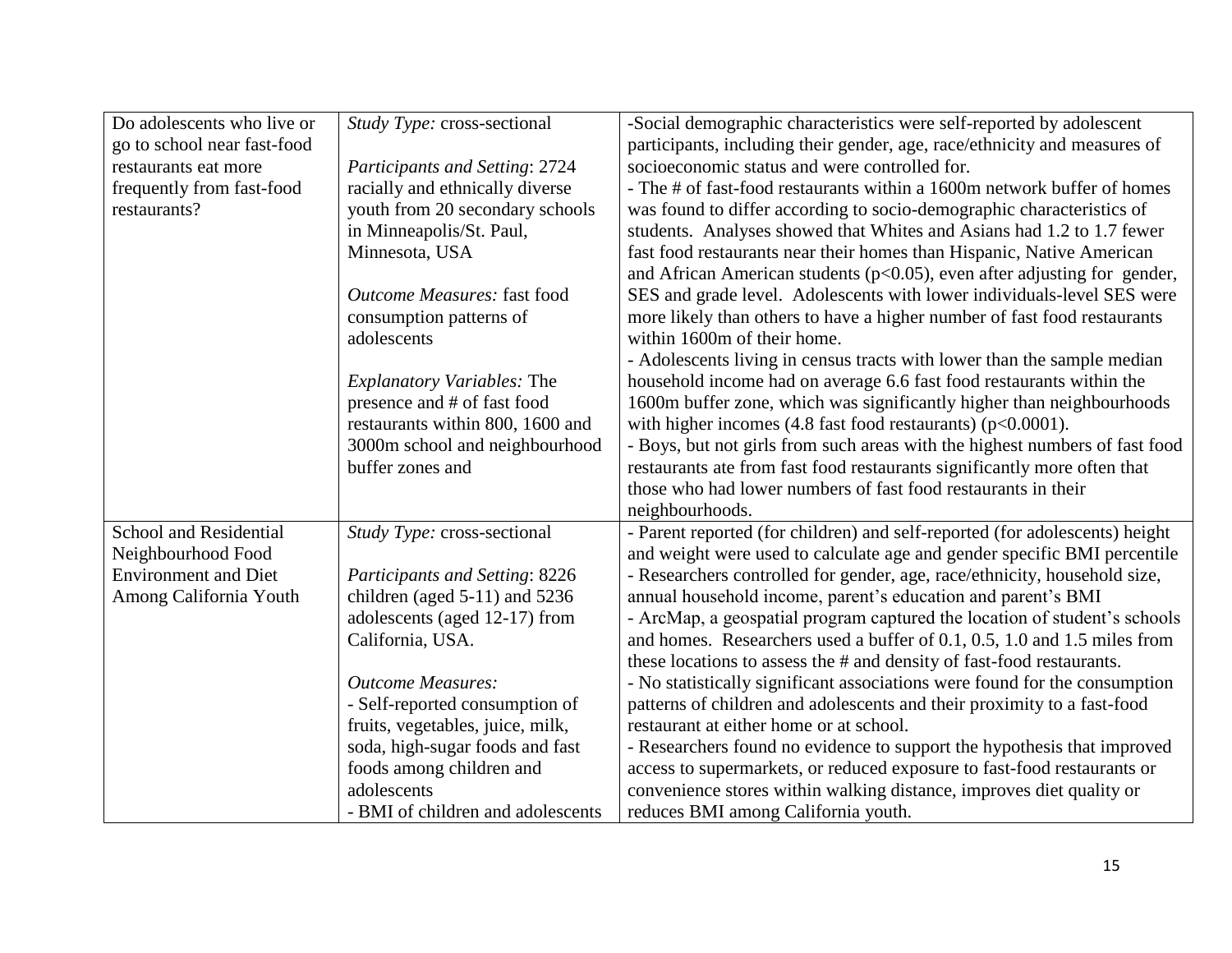| Do adolescents who live or    | Study Type: cross-sectional           | -Social demographic characteristics were self-reported by adolescent         |
|-------------------------------|---------------------------------------|------------------------------------------------------------------------------|
| go to school near fast-food   |                                       | participants, including their gender, age, race/ethnicity and measures of    |
| restaurants eat more          | Participants and Setting: 2724        | socioeconomic status and were controlled for.                                |
| frequently from fast-food     | racially and ethnically diverse       | - The # of fast-food restaurants within a 1600m network buffer of homes      |
| restaurants?                  | youth from 20 secondary schools       | was found to differ according to socio-demographic characteristics of        |
|                               | in Minneapolis/St. Paul,              | students. Analyses showed that Whites and Asians had 1.2 to 1.7 fewer        |
|                               | Minnesota, USA                        | fast food restaurants near their homes than Hispanic, Native American        |
|                               |                                       | and African American students ( $p<0.05$ ), even after adjusting for gender, |
|                               | Outcome Measures: fast food           | SES and grade level. Adolescents with lower individuals-level SES were       |
|                               | consumption patterns of               | more likely than others to have a higher number of fast food restaurants     |
|                               | adolescents                           | within 1600m of their home.                                                  |
|                               |                                       | - Adolescents living in census tracts with lower than the sample median      |
|                               | <i>Explanatory Variables: The</i>     | household income had on average 6.6 fast food restaurants within the         |
|                               | presence and # of fast food           | 1600m buffer zone, which was significantly higher than neighbourhoods        |
|                               | restaurants within 800, 1600 and      | with higher incomes $(4.8$ fast food restaurants) ( $p<0.0001$ ).            |
|                               | 3000m school and neighbourhood        | - Boys, but not girls from such areas with the highest numbers of fast food  |
|                               | buffer zones and                      | restaurants ate from fast food restaurants significantly more often that     |
|                               |                                       | those who had lower numbers of fast food restaurants in their                |
|                               |                                       | neighbourhoods.                                                              |
| <b>School and Residential</b> | Study Type: cross-sectional           | - Parent reported (for children) and self-reported (for adolescents) height  |
| Neighbourhood Food            |                                       | and weight were used to calculate age and gender specific BMI percentile     |
| <b>Environment</b> and Diet   | <b>Participants and Setting: 8226</b> | - Researchers controlled for gender, age, race/ethnicity, household size,    |
| Among California Youth        | children (aged $5-11$ ) and $5236$    | annual household income, parent's education and parent's BMI                 |
|                               | adolescents (aged 12-17) from         | - ArcMap, a geospatial program captured the location of student's schools    |
|                               | California, USA.                      | and homes. Researchers used a buffer of 0.1, 0.5, 1.0 and 1.5 miles from     |
|                               |                                       | these locations to assess the # and density of fast-food restaurants.        |
|                               | <b>Outcome Measures:</b>              | - No statistically significant associations were found for the consumption   |
|                               | - Self-reported consumption of        | patterns of children and adolescents and their proximity to a fast-food      |
|                               | fruits, vegetables, juice, milk,      | restaurant at either home or at school.                                      |
|                               | soda, high-sugar foods and fast       | - Researchers found no evidence to support the hypothesis that improved      |
|                               | foods among children and              | access to supermarkets, or reduced exposure to fast-food restaurants or      |
|                               | adolescents                           | convenience stores within walking distance, improves diet quality or         |
|                               | - BMI of children and adolescents     | reduces BMI among California youth.                                          |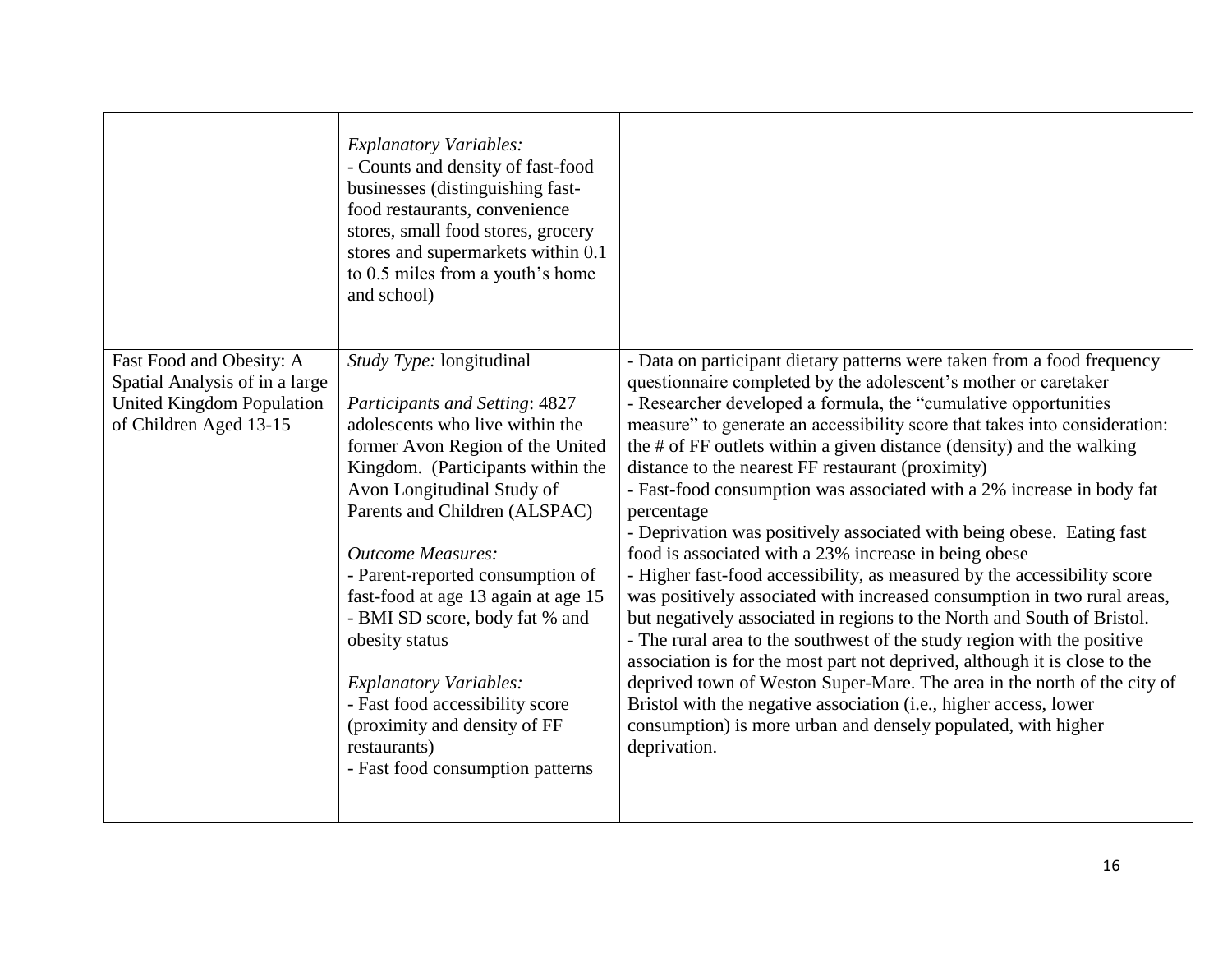|                                                                                                                   | <b>Explanatory Variables:</b><br>- Counts and density of fast-food<br>businesses (distinguishing fast-<br>food restaurants, convenience<br>stores, small food stores, grocery<br>stores and supermarkets within 0.1<br>to 0.5 miles from a youth's home<br>and school)                                                                                                                                                                                                                                                                                   |                                                                                                                                                                                                                                                                                                                                                                                                                                                                                                                                                                                                                                                                                                                                                                                                                                                                                                                                                                                                                                                                                                                                                                                                                                                                                   |
|-------------------------------------------------------------------------------------------------------------------|----------------------------------------------------------------------------------------------------------------------------------------------------------------------------------------------------------------------------------------------------------------------------------------------------------------------------------------------------------------------------------------------------------------------------------------------------------------------------------------------------------------------------------------------------------|-----------------------------------------------------------------------------------------------------------------------------------------------------------------------------------------------------------------------------------------------------------------------------------------------------------------------------------------------------------------------------------------------------------------------------------------------------------------------------------------------------------------------------------------------------------------------------------------------------------------------------------------------------------------------------------------------------------------------------------------------------------------------------------------------------------------------------------------------------------------------------------------------------------------------------------------------------------------------------------------------------------------------------------------------------------------------------------------------------------------------------------------------------------------------------------------------------------------------------------------------------------------------------------|
| Fast Food and Obesity: A<br>Spatial Analysis of in a large<br>United Kingdom Population<br>of Children Aged 13-15 | Study Type: longitudinal<br>Participants and Setting: 4827<br>adolescents who live within the<br>former Avon Region of the United<br>Kingdom. (Participants within the<br>Avon Longitudinal Study of<br>Parents and Children (ALSPAC)<br><b>Outcome Measures:</b><br>- Parent-reported consumption of<br>fast-food at age 13 again at age 15<br>- BMI SD score, body fat % and<br>obesity status<br><b>Explanatory Variables:</b><br>- Fast food accessibility score<br>(proximity and density of FF<br>restaurants)<br>- Fast food consumption patterns | - Data on participant dietary patterns were taken from a food frequency<br>questionnaire completed by the adolescent's mother or caretaker<br>- Researcher developed a formula, the "cumulative opportunities"<br>measure" to generate an accessibility score that takes into consideration:<br>the # of FF outlets within a given distance (density) and the walking<br>distance to the nearest FF restaurant (proximity)<br>- Fast-food consumption was associated with a 2% increase in body fat<br>percentage<br>- Deprivation was positively associated with being obese. Eating fast<br>food is associated with a 23% increase in being obese<br>- Higher fast-food accessibility, as measured by the accessibility score<br>was positively associated with increased consumption in two rural areas,<br>but negatively associated in regions to the North and South of Bristol.<br>- The rural area to the southwest of the study region with the positive<br>association is for the most part not deprived, although it is close to the<br>deprived town of Weston Super-Mare. The area in the north of the city of<br>Bristol with the negative association (i.e., higher access, lower<br>consumption) is more urban and densely populated, with higher<br>deprivation. |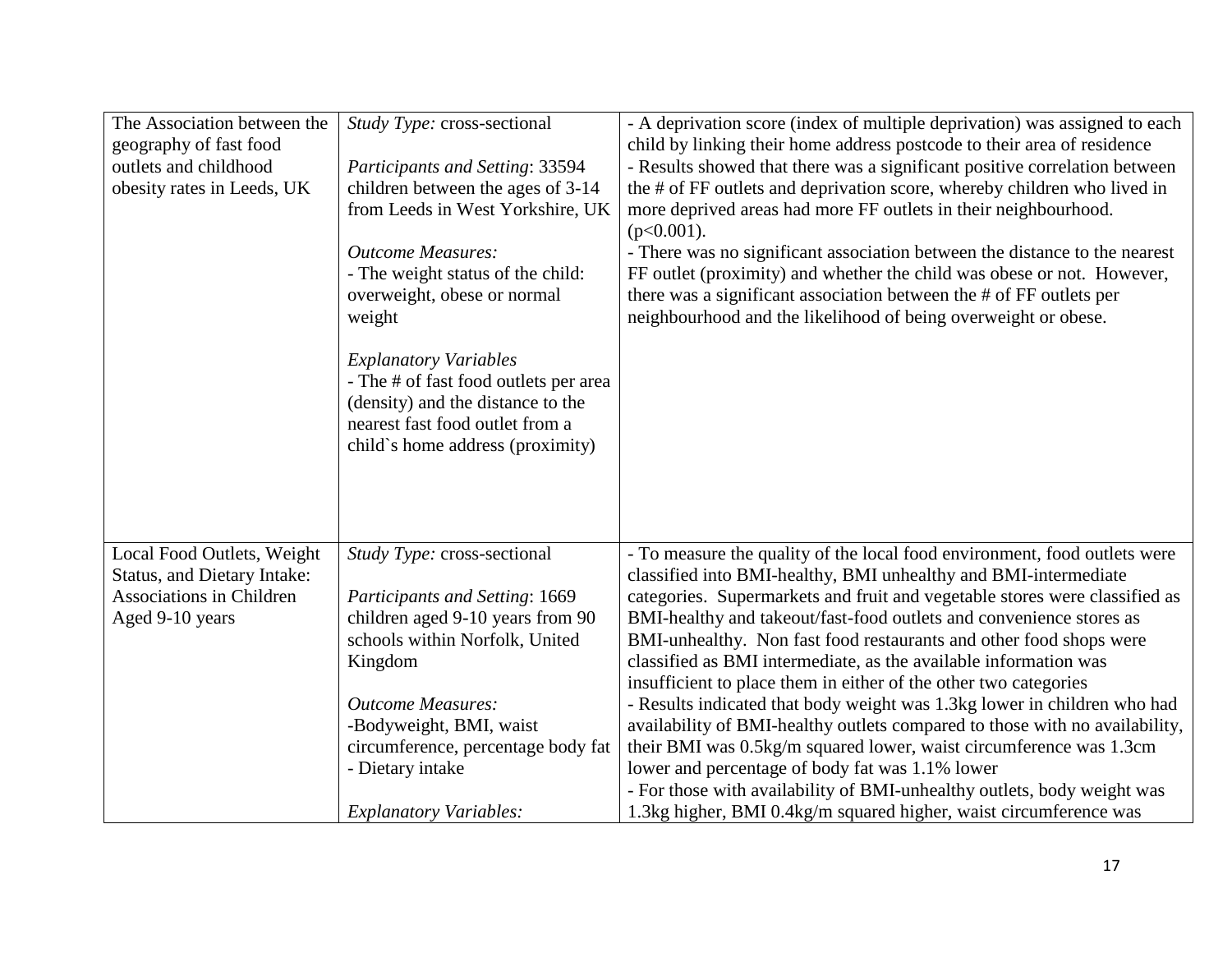| The Association between the<br>geography of fast food<br>outlets and childhood<br>obesity rates in Leeds, UK | Study Type: cross-sectional<br>Participants and Setting: 33594<br>children between the ages of 3-14<br>from Leeds in West Yorkshire, UK<br><b>Outcome Measures:</b><br>- The weight status of the child:<br>overweight, obese or normal<br>weight<br><b>Explanatory Variables</b><br>- The # of fast food outlets per area<br>(density) and the distance to the<br>nearest fast food outlet from a<br>child's home address (proximity) | - A deprivation score (index of multiple deprivation) was assigned to each<br>child by linking their home address postcode to their area of residence<br>- Results showed that there was a significant positive correlation between<br>the # of FF outlets and deprivation score, whereby children who lived in<br>more deprived areas had more FF outlets in their neighbourhood.<br>$(p<0.001)$ .<br>- There was no significant association between the distance to the nearest<br>FF outlet (proximity) and whether the child was obese or not. However,<br>there was a significant association between the # of FF outlets per<br>neighbourhood and the likelihood of being overweight or obese. |
|--------------------------------------------------------------------------------------------------------------|----------------------------------------------------------------------------------------------------------------------------------------------------------------------------------------------------------------------------------------------------------------------------------------------------------------------------------------------------------------------------------------------------------------------------------------|------------------------------------------------------------------------------------------------------------------------------------------------------------------------------------------------------------------------------------------------------------------------------------------------------------------------------------------------------------------------------------------------------------------------------------------------------------------------------------------------------------------------------------------------------------------------------------------------------------------------------------------------------------------------------------------------------|
| Local Food Outlets, Weight                                                                                   | Study Type: cross-sectional                                                                                                                                                                                                                                                                                                                                                                                                            | - To measure the quality of the local food environment, food outlets were                                                                                                                                                                                                                                                                                                                                                                                                                                                                                                                                                                                                                            |
| <b>Status, and Dietary Intake:</b><br>Associations in Children                                               | <b>Participants and Setting: 1669</b>                                                                                                                                                                                                                                                                                                                                                                                                  | classified into BMI-healthy, BMI unhealthy and BMI-intermediate<br>categories. Supermarkets and fruit and vegetable stores were classified as                                                                                                                                                                                                                                                                                                                                                                                                                                                                                                                                                        |
| Aged 9-10 years                                                                                              | children aged 9-10 years from 90                                                                                                                                                                                                                                                                                                                                                                                                       | BMI-healthy and takeout/fast-food outlets and convenience stores as                                                                                                                                                                                                                                                                                                                                                                                                                                                                                                                                                                                                                                  |
|                                                                                                              | schools within Norfolk, United                                                                                                                                                                                                                                                                                                                                                                                                         | BMI-unhealthy. Non fast food restaurants and other food shops were                                                                                                                                                                                                                                                                                                                                                                                                                                                                                                                                                                                                                                   |
|                                                                                                              | Kingdom                                                                                                                                                                                                                                                                                                                                                                                                                                | classified as BMI intermediate, as the available information was                                                                                                                                                                                                                                                                                                                                                                                                                                                                                                                                                                                                                                     |
|                                                                                                              |                                                                                                                                                                                                                                                                                                                                                                                                                                        | insufficient to place them in either of the other two categories                                                                                                                                                                                                                                                                                                                                                                                                                                                                                                                                                                                                                                     |
|                                                                                                              | <b>Outcome Measures:</b>                                                                                                                                                                                                                                                                                                                                                                                                               | - Results indicated that body weight was 1.3kg lower in children who had                                                                                                                                                                                                                                                                                                                                                                                                                                                                                                                                                                                                                             |
|                                                                                                              | -Bodyweight, BMI, waist                                                                                                                                                                                                                                                                                                                                                                                                                | availability of BMI-healthy outlets compared to those with no availability,                                                                                                                                                                                                                                                                                                                                                                                                                                                                                                                                                                                                                          |
|                                                                                                              | circumference, percentage body fat                                                                                                                                                                                                                                                                                                                                                                                                     | their BMI was 0.5kg/m squared lower, waist circumference was 1.3cm                                                                                                                                                                                                                                                                                                                                                                                                                                                                                                                                                                                                                                   |
|                                                                                                              | - Dietary intake                                                                                                                                                                                                                                                                                                                                                                                                                       | lower and percentage of body fat was 1.1% lower                                                                                                                                                                                                                                                                                                                                                                                                                                                                                                                                                                                                                                                      |
|                                                                                                              |                                                                                                                                                                                                                                                                                                                                                                                                                                        | - For those with availability of BMI-unhealthy outlets, body weight was                                                                                                                                                                                                                                                                                                                                                                                                                                                                                                                                                                                                                              |
|                                                                                                              | <b>Explanatory Variables:</b>                                                                                                                                                                                                                                                                                                                                                                                                          | 1.3kg higher, BMI 0.4kg/m squared higher, waist circumference was                                                                                                                                                                                                                                                                                                                                                                                                                                                                                                                                                                                                                                    |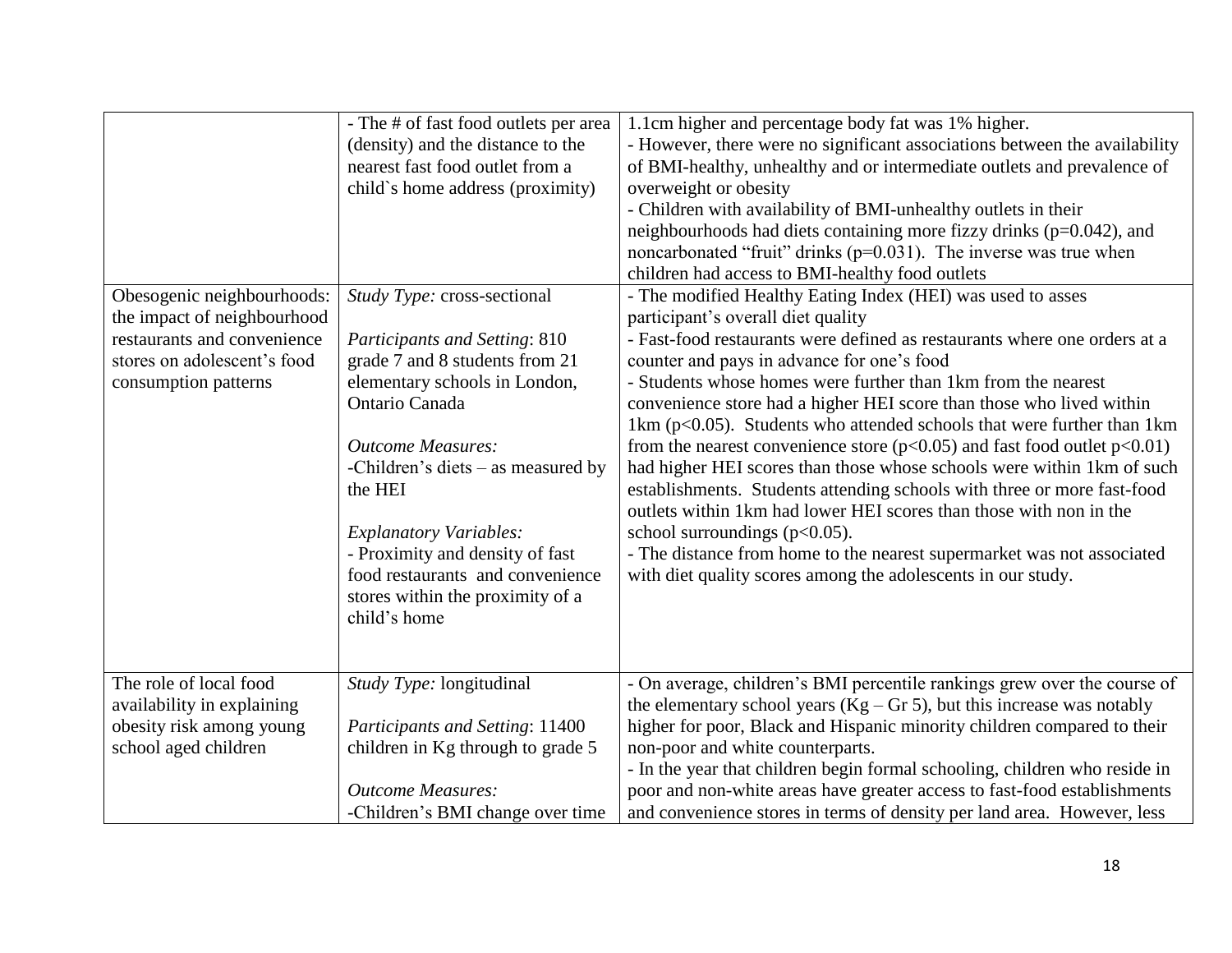| Obesogenic neighbourhoods:<br>the impact of neighbourhood<br>restaurants and convenience<br>stores on adolescent's food<br>consumption patterns | - The # of fast food outlets per area<br>(density) and the distance to the<br>nearest fast food outlet from a<br>child`s home address (proximity)<br>Study Type: cross-sectional<br><b>Participants and Setting: 810</b><br>grade 7 and 8 students from 21<br>elementary schools in London,<br>Ontario Canada<br><b>Outcome Measures:</b><br>-Children's diets – as measured by<br>the HEI<br><b>Explanatory Variables:</b><br>- Proximity and density of fast<br>food restaurants and convenience<br>stores within the proximity of a<br>child's home | 1.1cm higher and percentage body fat was 1% higher.<br>- However, there were no significant associations between the availability<br>of BMI-healthy, unhealthy and or intermediate outlets and prevalence of<br>overweight or obesity<br>- Children with availability of BMI-unhealthy outlets in their<br>neighbourhoods had diets containing more fizzy drinks ( $p=0.042$ ), and<br>noncarbonated "fruit" drinks (p=0.031). The inverse was true when<br>children had access to BMI-healthy food outlets<br>- The modified Healthy Eating Index (HEI) was used to asses<br>participant's overall diet quality<br>- Fast-food restaurants were defined as restaurants where one orders at a<br>counter and pays in advance for one's food<br>- Students whose homes were further than 1km from the nearest<br>convenience store had a higher HEI score than those who lived within<br>1km ( $p<0.05$ ). Students who attended schools that were further than 1km<br>from the nearest convenience store ( $p<0.05$ ) and fast food outlet $p<0.01$ )<br>had higher HEI scores than those whose schools were within 1km of such<br>establishments. Students attending schools with three or more fast-food<br>outlets within 1km had lower HEI scores than those with non in the<br>school surroundings $(p<0.05)$ .<br>- The distance from home to the nearest supermarket was not associated<br>with diet quality scores among the adolescents in our study. |
|-------------------------------------------------------------------------------------------------------------------------------------------------|--------------------------------------------------------------------------------------------------------------------------------------------------------------------------------------------------------------------------------------------------------------------------------------------------------------------------------------------------------------------------------------------------------------------------------------------------------------------------------------------------------------------------------------------------------|----------------------------------------------------------------------------------------------------------------------------------------------------------------------------------------------------------------------------------------------------------------------------------------------------------------------------------------------------------------------------------------------------------------------------------------------------------------------------------------------------------------------------------------------------------------------------------------------------------------------------------------------------------------------------------------------------------------------------------------------------------------------------------------------------------------------------------------------------------------------------------------------------------------------------------------------------------------------------------------------------------------------------------------------------------------------------------------------------------------------------------------------------------------------------------------------------------------------------------------------------------------------------------------------------------------------------------------------------------------------------------------------------------------------------------------------------------------|
| The role of local food<br>availability in explaining<br>obesity risk among young<br>school aged children                                        | Study Type: longitudinal<br>Participants and Setting: 11400<br>children in Kg through to grade 5<br><b>Outcome Measures:</b><br>-Children's BMI change over time                                                                                                                                                                                                                                                                                                                                                                                       | - On average, children's BMI percentile rankings grew over the course of<br>the elementary school years ( $Kg - Gr 5$ ), but this increase was notably<br>higher for poor, Black and Hispanic minority children compared to their<br>non-poor and white counterparts.<br>- In the year that children begin formal schooling, children who reside in<br>poor and non-white areas have greater access to fast-food establishments<br>and convenience stores in terms of density per land area. However, less                                                                                                                                                                                                                                                                                                                                                                                                                                                                                                                                                                                                                                                                                                                                                                                                                                                                                                                                                     |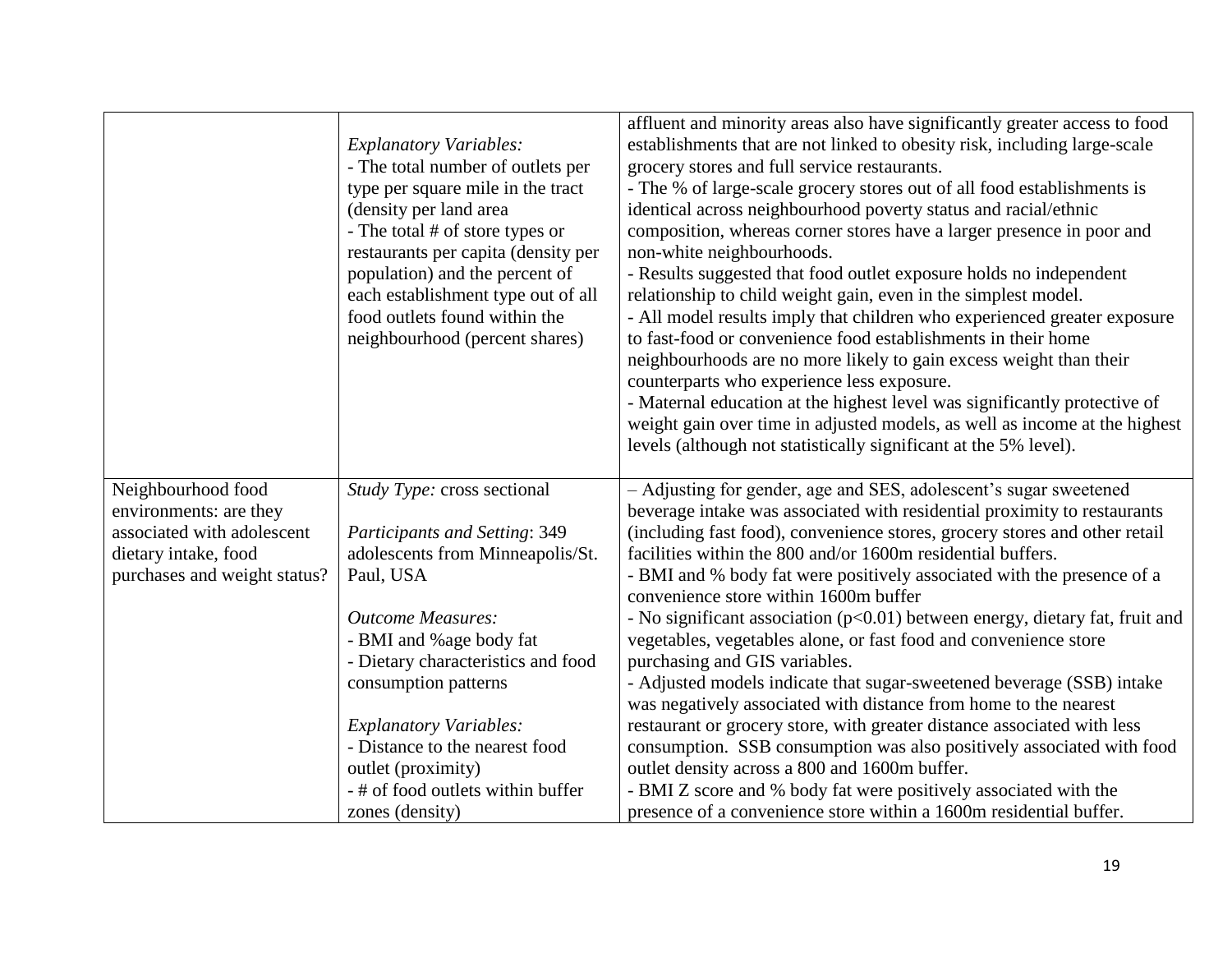|                                                      | <b>Explanatory Variables:</b><br>- The total number of outlets per<br>type per square mile in the tract<br>(density per land area<br>- The total # of store types or<br>restaurants per capita (density per<br>population) and the percent of<br>each establishment type out of all<br>food outlets found within the<br>neighbourhood (percent shares) | affluent and minority areas also have significantly greater access to food<br>establishments that are not linked to obesity risk, including large-scale<br>grocery stores and full service restaurants.<br>- The % of large-scale grocery stores out of all food establishments is<br>identical across neighbourhood poverty status and racial/ethnic<br>composition, whereas corner stores have a larger presence in poor and<br>non-white neighbourhoods.<br>- Results suggested that food outlet exposure holds no independent<br>relationship to child weight gain, even in the simplest model.<br>- All model results imply that children who experienced greater exposure<br>to fast-food or convenience food establishments in their home<br>neighbourhoods are no more likely to gain excess weight than their<br>counterparts who experience less exposure.<br>- Maternal education at the highest level was significantly protective of<br>weight gain over time in adjusted models, as well as income at the highest<br>levels (although not statistically significant at the 5% level). |
|------------------------------------------------------|--------------------------------------------------------------------------------------------------------------------------------------------------------------------------------------------------------------------------------------------------------------------------------------------------------------------------------------------------------|-----------------------------------------------------------------------------------------------------------------------------------------------------------------------------------------------------------------------------------------------------------------------------------------------------------------------------------------------------------------------------------------------------------------------------------------------------------------------------------------------------------------------------------------------------------------------------------------------------------------------------------------------------------------------------------------------------------------------------------------------------------------------------------------------------------------------------------------------------------------------------------------------------------------------------------------------------------------------------------------------------------------------------------------------------------------------------------------------------|
| Neighbourhood food<br>environments: are they         | Study Type: cross sectional                                                                                                                                                                                                                                                                                                                            | - Adjusting for gender, age and SES, adolescent's sugar sweetened<br>beverage intake was associated with residential proximity to restaurants                                                                                                                                                                                                                                                                                                                                                                                                                                                                                                                                                                                                                                                                                                                                                                                                                                                                                                                                                       |
| associated with adolescent                           | <b>Participants and Setting: 349</b>                                                                                                                                                                                                                                                                                                                   | (including fast food), convenience stores, grocery stores and other retail                                                                                                                                                                                                                                                                                                                                                                                                                                                                                                                                                                                                                                                                                                                                                                                                                                                                                                                                                                                                                          |
| dietary intake, food<br>purchases and weight status? | adolescents from Minneapolis/St.<br>Paul, USA                                                                                                                                                                                                                                                                                                          | facilities within the 800 and/or 1600m residential buffers.<br>- BMI and % body fat were positively associated with the presence of a<br>convenience store within 1600m buffer                                                                                                                                                                                                                                                                                                                                                                                                                                                                                                                                                                                                                                                                                                                                                                                                                                                                                                                      |
|                                                      | <b>Outcome Measures:</b><br>- BMI and %age body fat<br>- Dietary characteristics and food                                                                                                                                                                                                                                                              | - No significant association $(p<0.01)$ between energy, dietary fat, fruit and<br>vegetables, vegetables alone, or fast food and convenience store<br>purchasing and GIS variables.                                                                                                                                                                                                                                                                                                                                                                                                                                                                                                                                                                                                                                                                                                                                                                                                                                                                                                                 |
|                                                      | consumption patterns                                                                                                                                                                                                                                                                                                                                   | - Adjusted models indicate that sugar-sweetened beverage (SSB) intake<br>was negatively associated with distance from home to the nearest                                                                                                                                                                                                                                                                                                                                                                                                                                                                                                                                                                                                                                                                                                                                                                                                                                                                                                                                                           |
|                                                      | <b>Explanatory Variables:</b>                                                                                                                                                                                                                                                                                                                          | restaurant or grocery store, with greater distance associated with less                                                                                                                                                                                                                                                                                                                                                                                                                                                                                                                                                                                                                                                                                                                                                                                                                                                                                                                                                                                                                             |
|                                                      | - Distance to the nearest food                                                                                                                                                                                                                                                                                                                         | consumption. SSB consumption was also positively associated with food                                                                                                                                                                                                                                                                                                                                                                                                                                                                                                                                                                                                                                                                                                                                                                                                                                                                                                                                                                                                                               |
|                                                      | outlet (proximity)                                                                                                                                                                                                                                                                                                                                     | outlet density across a 800 and 1600m buffer.                                                                                                                                                                                                                                                                                                                                                                                                                                                                                                                                                                                                                                                                                                                                                                                                                                                                                                                                                                                                                                                       |
|                                                      | - # of food outlets within buffer                                                                                                                                                                                                                                                                                                                      | - BMI Z score and % body fat were positively associated with the                                                                                                                                                                                                                                                                                                                                                                                                                                                                                                                                                                                                                                                                                                                                                                                                                                                                                                                                                                                                                                    |
|                                                      | zones (density)                                                                                                                                                                                                                                                                                                                                        | presence of a convenience store within a 1600m residential buffer.                                                                                                                                                                                                                                                                                                                                                                                                                                                                                                                                                                                                                                                                                                                                                                                                                                                                                                                                                                                                                                  |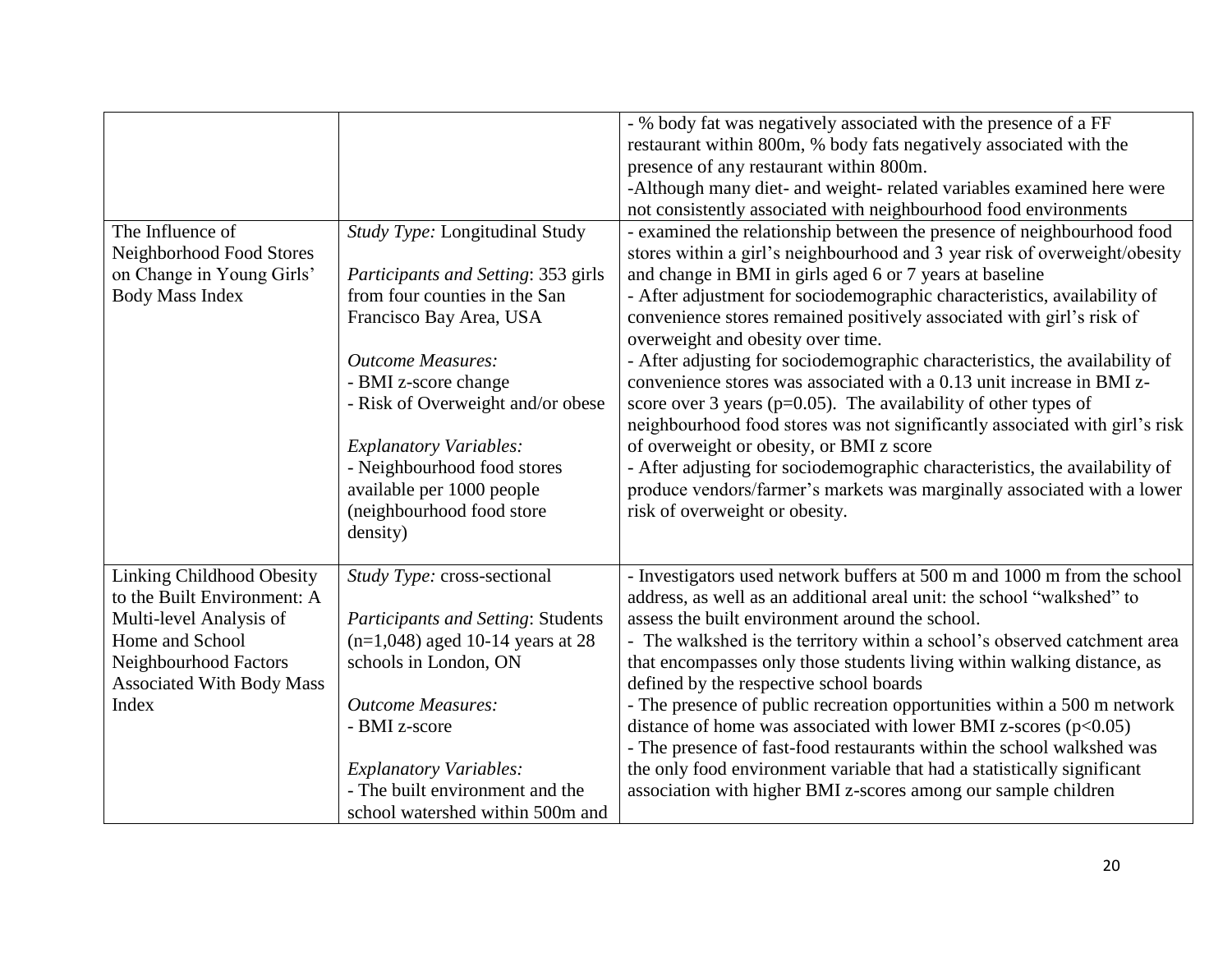| The Influence of<br>Neighborhood Food Stores<br>on Change in Young Girls'<br><b>Body Mass Index</b>                                                                                 | Study Type: Longitudinal Study<br>Participants and Setting: 353 girls<br>from four counties in the San<br>Francisco Bay Area, USA<br><b>Outcome Measures:</b><br>- BMI z-score change<br>- Risk of Overweight and/or obese<br><b>Explanatory Variables:</b><br>- Neighbourhood food stores<br>available per 1000 people<br>(neighbourhood food store<br>density) | - % body fat was negatively associated with the presence of a FF<br>restaurant within 800m, % body fats negatively associated with the<br>presence of any restaurant within 800m.<br>-Although many diet- and weight- related variables examined here were<br>not consistently associated with neighbourhood food environments<br>- examined the relationship between the presence of neighbourhood food<br>stores within a girl's neighbourhood and 3 year risk of overweight/obesity<br>and change in BMI in girls aged 6 or 7 years at baseline<br>- After adjustment for sociodemographic characteristics, availability of<br>convenience stores remained positively associated with girl's risk of<br>overweight and obesity over time.<br>- After adjusting for sociodemographic characteristics, the availability of<br>convenience stores was associated with a 0.13 unit increase in BMI z-<br>score over 3 years ( $p=0.05$ ). The availability of other types of<br>neighbourhood food stores was not significantly associated with girl's risk<br>of overweight or obesity, or BMI z score<br>- After adjusting for sociodemographic characteristics, the availability of<br>produce vendors/farmer's markets was marginally associated with a lower<br>risk of overweight or obesity. |
|-------------------------------------------------------------------------------------------------------------------------------------------------------------------------------------|------------------------------------------------------------------------------------------------------------------------------------------------------------------------------------------------------------------------------------------------------------------------------------------------------------------------------------------------------------------|----------------------------------------------------------------------------------------------------------------------------------------------------------------------------------------------------------------------------------------------------------------------------------------------------------------------------------------------------------------------------------------------------------------------------------------------------------------------------------------------------------------------------------------------------------------------------------------------------------------------------------------------------------------------------------------------------------------------------------------------------------------------------------------------------------------------------------------------------------------------------------------------------------------------------------------------------------------------------------------------------------------------------------------------------------------------------------------------------------------------------------------------------------------------------------------------------------------------------------------------------------------------------------------------------|
| <b>Linking Childhood Obesity</b><br>to the Built Environment: A<br>Multi-level Analysis of<br>Home and School<br>Neighbourhood Factors<br><b>Associated With Body Mass</b><br>Index | Study Type: cross-sectional<br><b>Participants and Setting: Students</b><br>$(n=1,048)$ aged 10-14 years at 28<br>schools in London, ON<br><b>Outcome Measures:</b><br>- BMI z-score<br><b>Explanatory Variables:</b><br>- The built environment and the<br>school watershed within 500m and                                                                     | - Investigators used network buffers at 500 m and 1000 m from the school<br>address, as well as an additional areal unit: the school "walkshed" to<br>assess the built environment around the school.<br>- The walkshed is the territory within a school's observed catchment area<br>that encompasses only those students living within walking distance, as<br>defined by the respective school boards<br>- The presence of public recreation opportunities within a 500 m network<br>distance of home was associated with lower BMI z-scores $(p<0.05)$<br>- The presence of fast-food restaurants within the school walkshed was<br>the only food environment variable that had a statistically significant<br>association with higher BMI z-scores among our sample children                                                                                                                                                                                                                                                                                                                                                                                                                                                                                                                  |